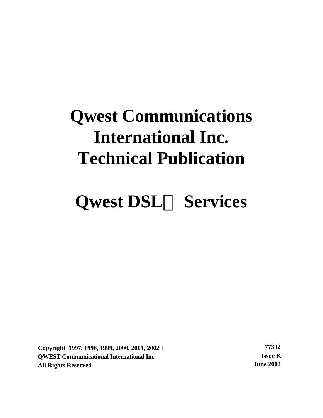# **Qwest Communications International Inc. Technical Publication**

# **Qwest DSLÔ Services**

**Copyright 1997, 1998, 1999, 2000, 2001, 2002Ó 77392 QWEST Communicational International Inc. Issue K All Rights Reserved June 2002**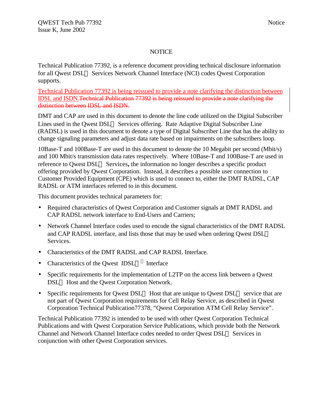#### **NOTICE**

Technical Publication 77392, is a reference document providing technical disclosure information for all Qwest DSL<sup>TM</sup> Services Network Channel Interface (NCI) codes Owest Corporation supports.

Technical Publication 77392 is being reissued to provide a note clarifying the distinction between IDSL and ISDN.Technical Publication 77392 is being reissued to provide a note clarifying the distinction between IDSL and ISDN.

DMT and CAP are used in this document to denote the line code utilized on the Digital Subscriber Lines used in the Qwest DSL<sup>TM</sup> Services offering. Rate Adaptive Digital Subscriber Line (RADSL) is used in this document to denote a type of Digital Subscriber Line that has the ability to change signaling parameters and adjust data rate based on impairments on the subscribers loop.

10Base-T and 100Base-T are used in this document to denote the 10 Megabit per second (Mbit/s) and 100 Mbit/s transmission data rates respectively. Where 10Base-T and 100Base-T are used in reference to Owest DSL<sup>TM</sup> Services, the information no longer describes a specific product offering provided by Qwest Corporation. Instead, it describes a possible user connection to Customer Provided Equipment (CPE) which is used to connect to, either the DMT RADSL, CAP RADSL or ATM interfaces referred to in this document.

This document provides technical parameters for:

- Required characteristics of Qwest Corporation and Customer signals at DMT RADSL and CAP RADSL network interface to End-Users and Carriers;
- Network Channel Interface codes used to encode the signal characteristics of the DMT RADSL and CAP RADSL interface, and lists those that may be used when ordering Qwest DSL<sup>TM</sup> Services.
- Characteristics of the DMT RADSL and CAP RADSL Interface.
- Characteristics of the Qwest  $IDSL^{TM}$  Interface
- Specific requirements for the implementation of L2TP on the access link between a Owest DSL<sup>TM</sup> Host and the Owest Corporation Network.
- Specific requirements for Qwest DSL<sup>TM</sup> Host that are unique to Qwest DSL<sup>TM</sup> service that are not part of Qwest Corporation requirements for Cell Relay Service, as described in Qwest Corporation Technical Publication77378, "Qwest Corporation ATM Cell Relay Service".

Technical Publication 77392 is intended to be used with other Qwest Corporation Technical Publications and with Qwest Corporation Service Publications, which provide both the Network Channel and Network Channel Interface codes needed to order Qwest DSL™ Services in conjunction with other Qwest Corporation services.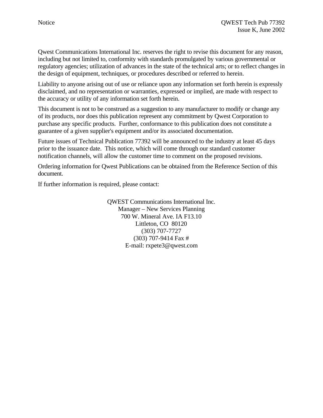Qwest Communications International Inc. reserves the right to revise this document for any reason, including but not limited to, conformity with standards promulgated by various governmental or regulatory agencies; utilization of advances in the state of the technical arts; or to reflect changes in the design of equipment, techniques, or procedures described or referred to herein.

Liability to anyone arising out of use or reliance upon any information set forth herein is expressly disclaimed, and no representation or warranties, expressed or implied, are made with respect to the accuracy or utility of any information set forth herein.

This document is not to be construed as a suggestion to any manufacturer to modify or change any of its products, nor does this publication represent any commitment by Qwest Corporation to purchase any specific products. Further, conformance to this publication does not constitute a guarantee of a given supplier's equipment and/or its associated documentation.

Future issues of Technical Publication 77392 will be announced to the industry at least 45 days prior to the issuance date. This notice, which will come through our standard customer notification channels, will allow the customer time to comment on the proposed revisions.

Ordering information for Qwest Publications can be obtained from the Reference Section of this document.

If further information is required, please contact:

QWEST Communications International Inc. Manager – New Services Planning 700 W. Mineral Ave. IA F13.10 Littleton, CO 80120 (303) 707-7727 (303) 707-9414 Fax # E-mail: rxpete3@qwest.com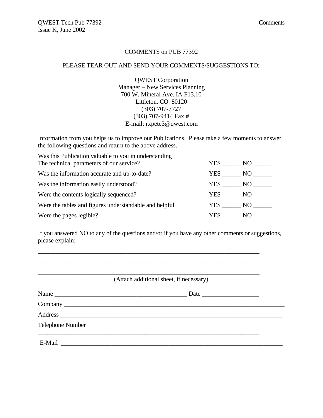#### COMMENTS on PUB 77392

#### PLEASE TEAR OUT AND SEND YOUR COMMENTS/SUGGESTIONS TO:

QWEST Corporation Manager – New Services Planning 700 W. Mineral Ave. IA F13.10 Littleton, CO 80120 (303) 707-7727 (303) 707-9414 Fax # E-mail: rxpete3@qwest.com

Information from you helps us to improve our Publications. Please take a few moments to answer the following questions and return to the above address.

Was this Publication valuable to you in understanding The technical parameters of our service?  $YER$  NO

| The technical parameters of our service?               |        | $\overline{1}$ External $\overline{1}$ $\overline{1}$ $\overline{1}$ $\overline{1}$ $\overline{1}$ $\overline{1}$ $\overline{1}$ $\overline{1}$ $\overline{1}$ $\overline{1}$ $\overline{1}$ $\overline{1}$ $\overline{1}$ $\overline{1}$ $\overline{1}$ $\overline{1}$ $\overline{1}$ $\overline{1}$ $\overline{1}$ $\overline{1}$ $\overline{1}$ $\overline{1}$ $\overline{$ |
|--------------------------------------------------------|--------|--------------------------------------------------------------------------------------------------------------------------------------------------------------------------------------------------------------------------------------------------------------------------------------------------------------------------------------------------------------------------------|
| Was the information accurate and up-to-date?           |        | YES NO                                                                                                                                                                                                                                                                                                                                                                         |
| Was the information easily understood?                 |        | YES NO                                                                                                                                                                                                                                                                                                                                                                         |
| Were the contents logically sequenced?                 | YES NO |                                                                                                                                                                                                                                                                                                                                                                                |
| Were the tables and figures understandable and helpful | YES 7  | NO.                                                                                                                                                                                                                                                                                                                                                                            |
| Were the pages legible?                                | YES -  | NO L                                                                                                                                                                                                                                                                                                                                                                           |

If you answered NO to any of the questions and/or if you have any other comments or suggestions, please explain:

\_\_\_\_\_\_\_\_\_\_\_\_\_\_\_\_\_\_\_\_\_\_\_\_\_\_\_\_\_\_\_\_\_\_\_\_\_\_\_\_\_\_\_\_\_\_\_\_\_\_\_\_\_\_\_\_\_\_\_\_\_\_\_\_\_\_\_\_\_\_ \_\_\_\_\_\_\_\_\_\_\_\_\_\_\_\_\_\_\_\_\_\_\_\_\_\_\_\_\_\_\_\_\_\_\_\_\_\_\_\_\_\_\_\_\_\_\_\_\_\_\_\_\_\_\_\_\_\_\_\_\_\_\_\_\_\_\_\_\_\_ \_\_\_\_\_\_\_\_\_\_\_\_\_\_\_\_\_\_\_\_\_\_\_\_\_\_\_\_\_\_\_\_\_\_\_\_\_\_\_\_\_\_\_\_\_\_\_\_\_\_\_\_\_\_\_\_\_\_\_\_\_\_\_\_\_\_\_\_\_\_

(Attach additional sheet, if necessary)

| Name             |  |
|------------------|--|
|                  |  |
|                  |  |
| Telephone Number |  |
| E-Mail           |  |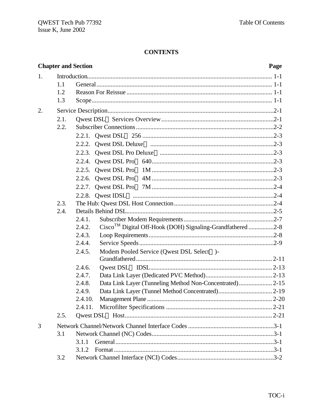## **CONTENTS**

|                  | <b>Chapter and Section</b> |                                                                                  | Page |
|------------------|----------------------------|----------------------------------------------------------------------------------|------|
| 1.               |                            |                                                                                  |      |
|                  | 1.1                        |                                                                                  |      |
|                  | 1.2                        |                                                                                  |      |
|                  | 1.3                        |                                                                                  |      |
| $\overline{2}$ . |                            |                                                                                  |      |
|                  | 2.1.                       |                                                                                  |      |
|                  | 2.2.                       |                                                                                  |      |
|                  |                            |                                                                                  |      |
|                  |                            |                                                                                  |      |
|                  |                            |                                                                                  |      |
|                  |                            |                                                                                  |      |
|                  |                            |                                                                                  |      |
|                  |                            |                                                                                  |      |
|                  |                            |                                                                                  |      |
|                  |                            |                                                                                  |      |
|                  | 2.3.                       |                                                                                  |      |
|                  | 2.4.                       |                                                                                  |      |
|                  |                            | 2.4.1.                                                                           |      |
|                  |                            | Cisco <sup>TM</sup> Digital Off-Hook (DOH) Signaling-Grandfathered 2-8<br>2.4.2. |      |
|                  |                            | 2.4.3.                                                                           |      |
|                  |                            | 2.4.4.                                                                           |      |
|                  |                            | Modem Pooled Service (Qwest DSL Select <sup>TM</sup> )-<br>2.4.5.                |      |
|                  |                            |                                                                                  |      |
|                  |                            | 2.4.6.                                                                           |      |
|                  |                            | 2.4.7.                                                                           |      |
|                  |                            | Data Link Layer (Tunneling Method Non-Concentrated) 2-15<br>2.4.8.               |      |
|                  |                            | 2.4.9.                                                                           |      |
|                  |                            | 2.4.10.                                                                          |      |
|                  |                            | 2.4.11.                                                                          |      |
|                  | 2.5.                       |                                                                                  |      |
| 3                |                            |                                                                                  |      |
|                  | 3.1                        |                                                                                  |      |
|                  |                            | 3.1.1                                                                            |      |
|                  |                            | 3.1.2                                                                            |      |
|                  | 3.2                        |                                                                                  |      |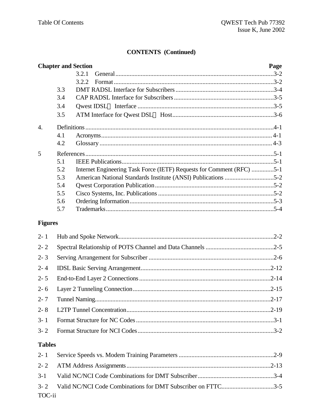## **CONTENTS** (Continued)

|                  | <b>Chapter and Section</b> |       |                                                                       | Page |
|------------------|----------------------------|-------|-----------------------------------------------------------------------|------|
|                  |                            | 3.2.1 |                                                                       |      |
|                  |                            | 3.2.2 |                                                                       |      |
|                  | 3.3                        |       |                                                                       |      |
|                  | 3.4                        |       |                                                                       |      |
|                  | 3.4                        |       |                                                                       |      |
|                  | 3.5                        |       |                                                                       |      |
| $\overline{4}$ . |                            |       |                                                                       |      |
|                  | 4.1                        |       |                                                                       |      |
|                  | 4.2                        |       |                                                                       |      |
| 5                |                            |       |                                                                       |      |
|                  | 5.1                        |       |                                                                       |      |
|                  | 5.2                        |       | Internet Engineering Task Force (IETF) Requests for Comment (RFC) 5-1 |      |
|                  | 5.3                        |       | American National Standards Institute (ANSI) Publications 5-2         |      |
|                  | 5.4                        |       |                                                                       |      |
|                  | 5.5                        |       |                                                                       |      |
|                  | 5.6<br>5.7                 |       |                                                                       |      |
|                  |                            |       |                                                                       |      |
| <b>Figures</b>   |                            |       |                                                                       |      |
| $2 - 1$          |                            |       |                                                                       |      |
| $2 - 2$          |                            |       |                                                                       |      |
| $2 - 3$          |                            |       |                                                                       |      |
| $2 - 4$          |                            |       |                                                                       |      |
| $2 - 5$          |                            |       |                                                                       |      |
| $2 - 6$          |                            |       |                                                                       |      |
| $2 - 7$          |                            |       |                                                                       |      |
| $2 - 8$          |                            |       |                                                                       |      |
| $3 - 1$          |                            |       |                                                                       |      |
| $3 - 2$          |                            |       |                                                                       |      |
| <b>Tables</b>    |                            |       |                                                                       |      |

| TOC-ii |  |
|--------|--|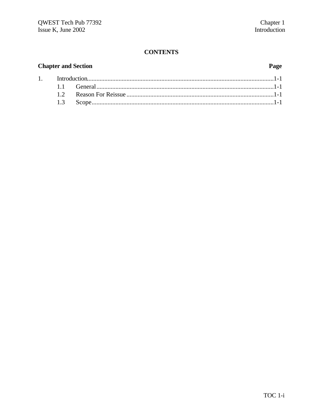## **CONTENTS**

## **Chapter and Section**

 $1.$ 

## Page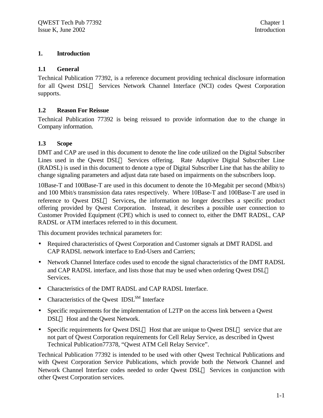#### **1. Introduction**

#### **1.1 General**

Technical Publication 77392, is a reference document providing technical disclosure information for all Owest DSL<sup>TM</sup> Services Network Channel Interface (NCI) codes Owest Corporation supports.

#### **1.2 Reason For Reissue**

Technical Publication 77392 is being reissued to provide information due to the change in Company information.

#### **1.3 Scope**

DMT and CAP are used in this document to denote the line code utilized on the Digital Subscriber Lines used in the Owest  $DSL^{TM}$  Services offering. Rate Adaptive Digital Subscriber Line (RADSL) is used in this document to denote a type of Digital Subscriber Line that has the ability to change signaling parameters and adjust data rate based on impairments on the subscribers loop.

10Base-T and 100Base-T are used in this document to denote the 10-Megabit per second (Mbit/s) and 100 Mbit/s transmission data rates respectively. Where 10Base-T and 100Base-T are used in reference to Owest DSL<sup>TM</sup> Services, the information no longer describes a specific product offering provided by Qwest Corporation. Instead, it describes a possible user connection to Customer Provided Equipment (CPE) which is used to connect to, either the DMT RADSL, CAP RADSL or ATM interfaces referred to in this document.

This document provides technical parameters for:

- Required characteristics of Qwest Corporation and Customer signals at DMT RADSL and CAP RADSL network interface to End-Users and Carriers;
- Network Channel Interface codes used to encode the signal characteristics of the DMT RADSL and CAP RADSL interface, and lists those that may be used when ordering Qwest DSL<sup>TM</sup> Services.
- Characteristics of the DMT RADSL and CAP RADSL Interface.
- Characteristics of the Owest  $IDSL<sup>SM</sup>$  Interface
- Specific requirements for the implementation of L2TP on the access link between a Qwest DSL<sup>TM</sup> Host and the Owest Network.
- Specific requirements for Owest DSL<sup>TM</sup> Host that are unique to Owest DSL<sup>TM</sup> service that are not part of Qwest Corporation requirements for Cell Relay Service, as described in Qwest Technical Publication77378, "Qwest ATM Cell Relay Service".

Technical Publication 77392 is intended to be used with other Qwest Technical Publications and with Qwest Corporation Service Publications, which provide both the Network Channel and Network Channel Interface codes needed to order Owest DSL<sup>TM</sup> Services in conjunction with other Qwest Corporation services.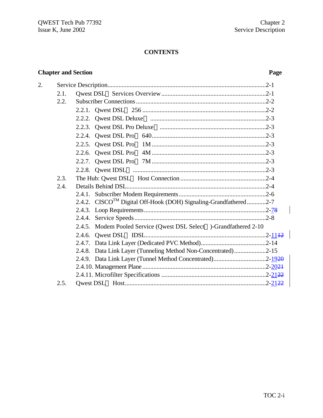## **CONTENTS**

## **Chapter and Section Page**

 $\begin{array}{c} \rule{0pt}{2ex} \rule{0pt}{2ex} \rule{0pt}{2ex} \rule{0pt}{2ex} \rule{0pt}{2ex} \rule{0pt}{2ex} \rule{0pt}{2ex} \rule{0pt}{2ex} \rule{0pt}{2ex} \rule{0pt}{2ex} \rule{0pt}{2ex} \rule{0pt}{2ex} \rule{0pt}{2ex} \rule{0pt}{2ex} \rule{0pt}{2ex} \rule{0pt}{2ex} \rule{0pt}{2ex} \rule{0pt}{2ex} \rule{0pt}{2ex} \rule{0pt}{2ex} \rule{0pt}{2ex} \rule{0pt}{2ex} \rule{0pt}{2ex} \rule{0pt}{$ 

| 2. |      |                                                                                  |  |
|----|------|----------------------------------------------------------------------------------|--|
|    | 2.1. |                                                                                  |  |
|    | 2.2. |                                                                                  |  |
|    |      |                                                                                  |  |
|    |      |                                                                                  |  |
|    |      |                                                                                  |  |
|    |      |                                                                                  |  |
|    |      |                                                                                  |  |
|    |      |                                                                                  |  |
|    |      |                                                                                  |  |
|    |      |                                                                                  |  |
|    | 2.3. |                                                                                  |  |
|    | 2.4. |                                                                                  |  |
|    |      |                                                                                  |  |
|    |      | 2.4.2. CISCO <sup>TM</sup> Digital Off-Hook (DOH) Signaling-Grandfathered2-7     |  |
|    |      |                                                                                  |  |
|    |      |                                                                                  |  |
|    |      | 2.4.5. Modem Pooled Service (Qwest DSL Select <sup>TM</sup> )-Grandfathered 2-10 |  |
|    |      |                                                                                  |  |
|    |      |                                                                                  |  |
|    |      | 2.4.8. Data Link Layer (Tunneling Method Non-Concentrated)2-15                   |  |
|    |      |                                                                                  |  |
|    |      |                                                                                  |  |
|    |      |                                                                                  |  |
|    | 2.5. |                                                                                  |  |
|    |      |                                                                                  |  |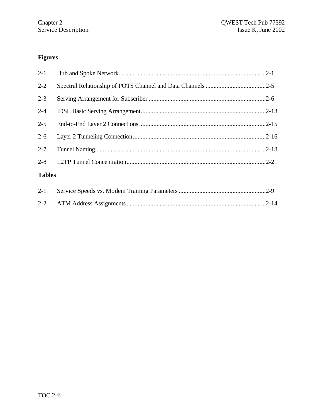## **Figures**

| $2 - 1$       |  |
|---------------|--|
| $2 - 2$       |  |
| $2 - 3$       |  |
| $2 - 4$       |  |
| $2 - 5$       |  |
| $2 - 6$       |  |
| $2 - 7$       |  |
| $2 - 8$       |  |
| <b>Tables</b> |  |
| $2 - 1$       |  |
| $2 - 2$       |  |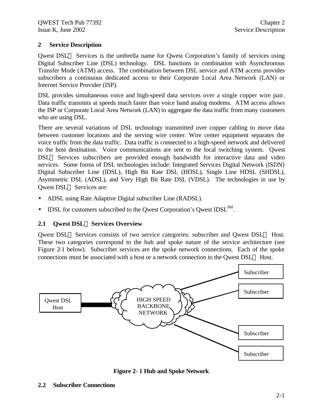## **2 Service Description**

Owest  $DSL^{TM}$  Services is the umbrella name for Owest Corporation's family of services using Digital Subscriber Line (DSL) technology. DSL functions in combination with Asynchronous Transfer Mode (ATM) access. The combination between DSL service and ATM access provides subscribers a continuous dedicated access to their Corporate Local Area Network (LAN) or Internet Service Provider (ISP).

DSL provides simultaneous voice and high-speed data services over a single copper wire pair. Data traffic transmits at speeds much faster than voice band analog modems. ATM access allows the ISP or Corporate Local Area Network (LAN) to aggregate the data traffic from many customers who are using DSL.

There are several variations of DSL technology transmitted over copper cabling to move data between customer locations and the serving wire center. Wire center equipment separates the voice traffic from the data traffic. Data traffic is connected to a high-speed network and delivered to the host destination. Voice communications are sent to the local switching system. Qwest  $DSL<sup>TM</sup>$  Services subscribers are provided enough bandwidth for interactive data and video services. Some forms of DSL technologies include: Integrated Services Digital Network (ISDN) Digital Subscriber Line (IDSL), High Bit Rate DSL (HDSL), Single Line HDSL (SHDSL), Asymmetric DSL (ADSL), and Very High Bit Rate DSL (VDSL). The technologies in use by Owest DSL<sup>™</sup> Services are:

- ADSL using Rate Adaptive Digital subscriber Line (RADSL).
- IDSL for customers subscribed to the Qwest Corporation's Qwest IDSL $^{SM}$ .

## **2.1 Qwest DSLÔ Services Overview**

Qwest DSL<sup>TM</sup> Services consists of two service categories: subscriber and Qwest DSL<sup>TM</sup> Host. These two categories correspond to the hub and spoke nature of the service architecture (see Figure 2-1 below). Subscriber services are the spoke network connections. Each of the spoke connections must be associated with a host or a network connection to the Qwest  $DSL^{TM}$  Host.



**Figure 2- 1 Hub and Spoke Network**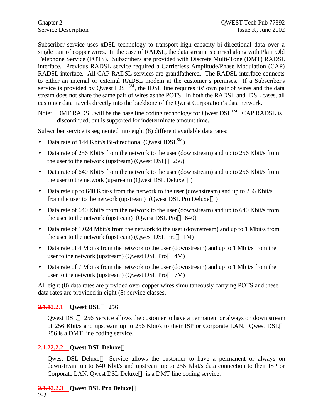Subscriber service uses xDSL technology to transport high capacity bi-directional data over a single pair of copper wires. In the case of RADSL, the data stream is carried along with Plain Old Telephone Service (POTS). Subscribers are provided with Discrete Multi-Tone (DMT) RADSL interface. Previous RADSL service required a Carrierless Amplitude/Phase Modulation (CAP) RADSL interface. All CAP RADSL services are grandfathered. The RADSL interface connects to either an internal or external RADSL modem at the customer's premises. If a Subscriber's service is provided by Qwest  $IDSL<sup>SM</sup>$ , the IDSL line requires its' own pair of wires and the data stream does not share the same pair of wires as the POTS. In both the RADSL and IDSL cases, all customer data travels directly into the backbone of the Qwest Corporation's data network.

Note: DMT RADSL will be the base line coding technology for Qwest  $DSL^{TM}$ . CAP RADSL is discontinued, but is supported for indeterminate amount time.

Subscriber service is segmented into eight (8) different available data rates:

- Data rate of 144 Kbit/s Bi-directional (Qwest IDSL<sup>SM</sup>)
- Data rate of 256 Kbit/s from the network to the user (downstream) and up to 256 Kbit/s from the user to the network (upstream) (Qwest  $DSL^{TM}$  256)
- Data rate of 640 Kbit/s from the network to the user (downstream) and up to 256 Kbit/s from the user to the network (upstream) (Qwest DSL Deluxe<sup>TM</sup>)
- Data rate up to 640 Kbit/s from the network to the user (downstream) and up to 256 Kbit/s from the user to the network (upstream) (Qwest DSL Pro Deluxe<sup>TM</sup>)
- Data rate of 640 Kbit/s from the network to the user (downstream) and up to 640 Kbit/s from the user to the network (upstream) (Qwest DSL Pro<sup>TM</sup> 640)
- Data rate of 1.024 Mbit/s from the network to the user (downstream) and up to 1 Mbit/s from the user to the network (upstream) (Qwest DSL Pro<sup> $TM$ </sup> 1M)
- Data rate of 4 Mbit/s from the network to the user (downstream) and up to 1 Mbit/s from the user to the network (upstream) (Qwest DSL Pro $TM$  4M)
- Data rate of 7 Mbit/s from the network to the user (downstream) and up to 1 Mbit/s from the user to the network (upstream) (Qwest DSL Pro<sup>TM</sup> 7M)

All eight (8) data rates are provided over copper wires simultaneously carrying POTS and these data rates are provided in eight (8) service classes.

## **2.1.12.2.1 Qwest DSLÔ 256**

Qwest DSL<sup>TM</sup> 256 Service allows the customer to have a permanent or always on down stream of 256 Kbit/s and upstream up to 256 Kbit/s to their ISP or Corporate LAN. Qwest DSL<sup>TM</sup> 256 is a DMT line coding service.

## **2.1.22.2.2 Qwest DSL DeluxeÔ**

Qwest DSL Deluxe<sup>TM</sup> Service allows the customer to have a permanent or always on downstream up to 640 Kbit/s and upstream up to 256 Kbit/s data connection to their ISP or Corporate LAN. Qwest DSL Deluxe™ is a DMT line coding service.

**2.1.32.2.3 Qwest DSL Pro DeluxeÔ**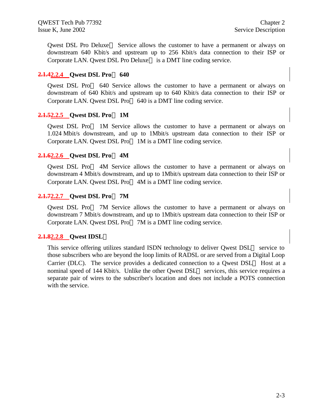Qwest DSL Pro Deluxe<sup> $TM$ </sup> Service allows the customer to have a permanent or always on downstream 640 Kbit/s and upstream up to 256 Kbit/s data connection to their ISP or Corporate LAN. Qwest DSL Pro Deluxe<sup>TM</sup> is a DMT line coding service.

#### **2.1.42.2.4 Qwest DSL ProÔ 640**

Qwest DSL Pro<sup>TM</sup> 640 Service allows the customer to have a permanent or always on downstream of 640 Kbit/s and upstream up to 640 Kbit/s data connection to their ISP or Corporate LAN. Qwest DSL Pro $TM$  640 is a DMT line coding service.

#### **2.1.52.2.5 Qwest DSL ProÔ 1M**

Qwest DSL Pro<sup>TM</sup> 1M Service allows the customer to have a permanent or always on 1.024 Mbit/s downstream, and up to 1Mbit/s upstream data connection to their ISP or Corporate LAN. Owest DSL Pro<sup>TM</sup> 1M is a DMT line coding service.

#### **2.1.62.2.6 Qwest DSL ProÔ 4M**

Owest DSL Pro<sup>TM</sup> 4M Service allows the customer to have a permanent or always on downstream 4 Mbit/s downstream, and up to 1Mbit/s upstream data connection to their ISP or Corporate LAN. Qwest DSL Pro<sup>TM</sup> 4M is a DMT line coding service.

#### **2.1.72.2.7 Qwest DSL ProÔ 7M**

Owest DSL Pro<sup> $TM$ </sup> 7M Service allows the customer to have a permanent or always on downstream 7 Mbit/s downstream, and up to 1Mbit/s upstream data connection to their ISP or Corporate LAN. Qwest DSL Pro<sup>TM</sup> 7M is a DMT line coding service.

## **2.1.82.2.8 Qwest IDSLÔ**

This service offering utilizes standard ISDN technology to deliver Qwest  $DSL^{TM}$  service to those subscribers who are beyond the loop limits of RADSL or are served from a Digital Loop Carrier (DLC). The service provides a dedicated connection to a Qwest  $DSL^{TM}$  Host at a nominal speed of 144 Kbit/s. Unlike the other Owest  $DSL^{TM}$  services, this service requires a separate pair of wires to the subscriber's location and does not include a POTS connection with the service.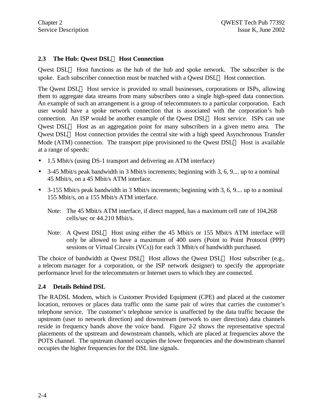## **2.3 The Hub: Qwest DSLÔ Host Connection**

Qwest  $DSL<sup>TM</sup>$  Host functions as the hub of the hub and spoke network. The subscriber is the spoke. Each subscriber connection must be matched with a Qwest  $DSL^{TM}$  Host connection.

The Qwest  $DSL<sup>TM</sup>$  Host service is provided to small businesses, corporations or ISPs, allowing them to aggregate data streams from many subscribers onto a single high-speed data connection. An example of such an arrangement is a group of telecommuters to a particular corporation. Each user would have a spoke network connection that is associated with the corporation's hub connection. An ISP would be another example of the Qwest  $DSL^{TM}$  Host service. ISPs can use Qwest  $DSL<sup>TM</sup>$  Host as an aggregation point for many subscribers in a given metro area. The Qwest  $DSL<sup>TM</sup>$  Host connection provides the central site with a high speed Asynchronous Transfer Mode (ATM) connection. The transport pipe provisioned to the Qwest  $DSL^{TM}$  Host is available at a range of speeds:

- 1.5 Mbit/s (using DS-1 transport and delivering an ATM interface)
- 3-45 Mbit/s peak bandwidth in 3 Mbit/s increments; beginning with 3, 6, 9.... up to a nominal 45 Mbit/s, on a 45 Mbit/s ATM interface.
- 3-155 Mbit/s peak bandwidth in 3 Mbit/s increments; beginning with 3, 6, 9... up to a nominal 155 Mbit/s, on a 155 Mbit/s ATM interface.
	- Note: The 45 Mbit/s ATM interface, if direct mapped, has a maximum cell rate of 104,268 cells/sec or 44.210 Mbit/s.
	- Note: A Qwest DSL<sup>TM</sup> Host using either the 45 Mbit/s or 155 Mbit/s ATM interface will only be allowed to have a maximum of 400 users (Point to Point Protocol (PPP) sessions or Virtual Circuits (VCs)) for each 3 Mbit/s of bandwidth purchased.

The choice of bandwidth at Qwest DSL<sup>TM</sup> Host allows the Qwest DSL<sup>TM</sup> Host subscriber (e.g., a telecom manager for a corporation, or the ISP network designer) to specify the appropriate performance level for the telecommuters or Internet users to which they are connected.

#### **2.4 Details Behind DSL**

The RADSL Modem, which is Customer Provided Equipment (CPE) and placed at the customer location, removes or places data traffic onto the same pair of wires that carries the customer's telephone service. The customer's telephone service is unaffected by the data traffic because the upstream (user to network direction) and downstream (network to user direction) data channels reside in frequency bands above the voice band. Figure 2-2 shows the representative spectral placements of the upstream and downstream channels, which are placed at frequencies above the POTS channel. The upstream channel occupies the lower frequencies and the downstream channel occupies the higher frequencies for the DSL line signals.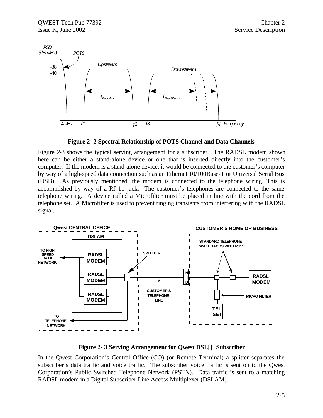



Figure 2-3 shows the typical serving arrangement for a subscriber. The RADSL modem shown here can be either a stand-alone device or one that is inserted directly into the customer's computer. If the modem is a stand-alone device, it would be connected to the customer's computer by way of a high-speed data connection such as an Ethernet 10/100Base-T or Universal Serial Bus (USB). As previously mentioned, the modem is connected to the telephone wiring. This is accomplished by way of a RJ-11 jack. The customer's telephones are connected to the same telephone wiring. A device called a Microfilter must be placed in line with the cord from the telephone set. A Microfilter is used to prevent ringing transients from interfering with the RADSL signal.



**Figure 2- 3 Serving Arrangement for Qwest DSLÔ Subscriber**

In the Qwest Corporation's Central Office (CO) (or Remote Terminal) a splitter separates the subscriber's data traffic and voice traffic. The subscriber voice traffic is sent on to the Qwest Corporation's Public Switched Telephone Network (PSTN). Data traffic is sent to a matching RADSL modem in a Digital Subscriber Line Access Multiplexer (DSLAM).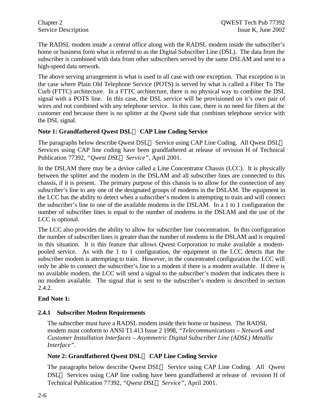The RADSL modem inside a central office along with the RADSL modem inside the subscriber's home or business form what is referred to as the Digital Subscriber Line (DSL). The data from the subscriber is combined with data from other subscribers served by the same DSLAM and sent to a high-speed data network.

The above serving arrangement is what is used in all case with one exception. That exception is in the case where Plain Old Telephone Service (POTS) is served by what is called a Fiber To The Curb (FTTC) architecture. In a FTTC architecture, there is no physical way to combine the DSL signal with a POTS line. In this case, the DSL service will be provisioned on it's own pair of wires and not combined with any telephone service. In this case, there is no need for filters at the customer end because there is no splitter at the Qwest side that combines telephone service with the DSL signal.

## **Note 1: Grandfathered Qwest DSLÔ CAP Line Coding Service**

The paragraphs below describe Qwest DSL<sup>TM</sup> Service using CAP Line Coding. All Qwest DSL<sup>TM</sup> Services using CAP line coding have been grandfathered at release of revision H of Technical Publication 77392, *"Qwest DSLÔ Service"*, April 2001.

In the DSLAM there may be a device called a Line Concentrator Chassis (LCC). It is physically between the splitter and the modem in the DSLAM and all subscriber lines are connected to this chassis, if it is present. The primary purpose of this chassis is to allow for the connection of any subscriber's line to any one of the designated groups of modems in the DSLAM. The equipment in the LCC has the ability to detect when a subscriber's modem is attempting to train and will connect the subscriber's line to one of the available modems in the DSLAM. In a 1 to 1 configuration the number of subscriber lines is equal to the number of modems in the DSLAM and the use of the LCC is optional.

The LCC also provides the ability to allow for subscriber line concentration. In this configuration the number of subscriber lines is greater than the number of modems in the DSLAM and is required in this situation. It is this feature that allows Qwest Corporation to make available a modempooled service. As with the 1 to 1 configuration, the equipment in the LCC detects that the subscriber modem is attempting to train. However, in the concentrated configuration the LCC will only be able to connect the subscriber's line to a modem if there is a modem available. If there is no available modem, the LCC will send a signal to the subscriber's modem that indicates there is no modem available. The signal that is sent to the subscriber's modem is described in section 2.4.2.

#### **End Note 1:**

#### **2.4.1 Subscriber Modem Requirements**

The subscriber must have a RADSL modem inside their home or business. The RADSL modem must conform to ANSI T1.413 Issue 2 1998, *"Telecommunications – Network and Customer Installation Interfaces – Asymmetric Digital Subscriber Line (ADSL) Metallic Interface"*.

## **Note 2: Grandfathered Qwest DSLÔ CAP Line Coding Service**

The paragraphs below describe Qwest  $DSL^{TM}$  Service using CAP Line Coding. All Qwest  $DSL<sup>TM</sup>$  Services using CAP line coding have been grandfathered at release of revision H of Technical Publication 77392, *"Qwest DSLÔ Service"*, April 2001.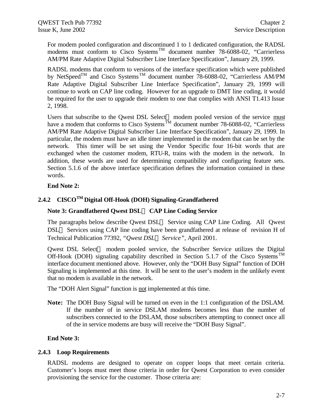For modem pooled configuration and discontinued 1 to 1 dedicated configuration, the RADSL modems must conform to Cisco Systems<sup>TM</sup> document number 78-6088-02, "Carrierless AM/PM Rate Adaptive Digital Subscriber Line Interface Specification", January 29, 1999.

RADSL modems that conform to versions of the interface specification which were published by NetSpeed<sup>TM</sup> and Cisco Systems<sup>TM</sup> document number 78-6088-02, "Carrierless AM/PM Rate Adaptive Digital Subscriber Line Interface Specification", January 29, 1999 will continue to work on CAP line coding. However for an upgrade to DMT line coding, it would be required for the user to upgrade their modem to one that complies with ANSI T1.413 Issue 2, 1998.

Users that subscribe to the Qwest DSL Select<sup>TM</sup> modem pooled version of the service  $\frac{must}{}$ have a modem that conforms to Cisco Systems<sup>TM</sup> document number 78-6088-02, "Carrierless AM/PM Rate Adaptive Digital Subscriber Line Interface Specification", January 29, 1999. In particular, the modem must have an idle timer implemented in the modem that can be set by the network. This timer will be set using the Vendor Specific four 16-bit words that are exchanged when the customer modem, RTU-R, trains with the modem in the network. In addition, these words are used for determining compatibility and configuring feature sets. Section 5.1.6 of the above interface specification defines the information contained in these words.

#### **End Note 2:**

## **2.4.2 CISCOTM Digital Off-Hook (DOH) Signaling-Grandfathered**

#### **Note 3: Grandfathered Qwest DSLÔ CAP Line Coding Service**

The paragraphs below describe Qwest  $DSL^{TM}$  Service using CAP Line Coding. All Qwest  $DSL<sup>TM</sup>$  Services using CAP line coding have been grandfathered at release of revision H of Technical Publication 77392, *"Qwest DSLÔ Service"*, April 2001.

Qwest DSL Select<sup> $TM$ </sup> modem pooled service, the Subscriber Service utilizes the Digital Off-Hook (DOH) signaling capability described in Section 5.1.7 of the Cisco Systems<sup>TM</sup> interface document mentioned above. However, only the "DOH Busy Signal" function of DOH Signaling is implemented at this time. It will be sent to the user's modem in the unlikely event that no modem is available in the network.

The "DOH Alert Signal" function is not implemented at this time.

**Note:** The DOH Busy Signal will be turned on even in the 1:1 configuration of the DSLAM. If the number of in service DSLAM modems becomes less than the number of subscribers connected to the DSLAM, those subscribers attempting to connect once all of the in service modems are busy will receive the "DOH Busy Signal".

#### **End Note 3:**

#### **2.4.3 Loop Requirements**

RADSL modems are designed to operate on copper loops that meet certain criteria. Customer's loops must meet those criteria in order for Qwest Corporation to even consider provisioning the service for the customer. Those criteria are: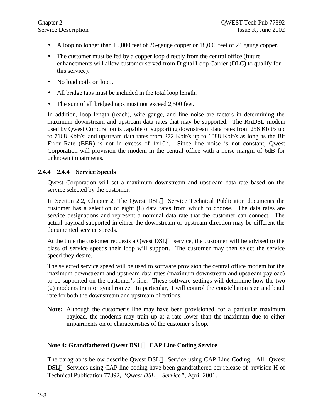- A loop no longer than 15,000 feet of 26-gauge copper or 18,000 feet of 24 gauge copper.
- The customer must be fed by a copper loop directly from the central office (future enhancements will allow customer served from Digital Loop Carrier (DLC) to qualify for this service).
- No load coils on loop.
- All bridge taps must be included in the total loop length.
- The sum of all bridged taps must not exceed 2,500 feet.

In addition, loop length (reach), wire gauge, and line noise are factors in determining the maximum downstream and upstream data rates that may be supported. The RADSL modem used by Qwest Corporation is capable of supporting downstream data rates from 256 Kbit/s up to 7168 Kbit/s; and upstream data rates from 272 Kbit/s up to 1088 Kbit/s as long as the Bit Error Rate (BER) is not in excess of  $1x10^{-7}$ . Since line noise is not constant, Qwest Corporation will provision the modem in the central office with a noise margin of 6dB for unknown impairments.

#### **2.4.4 2.4.4 Service Speeds**

Qwest Corporation will set a maximum downstream and upstream data rate based on the service selected by the customer.

In Section 2.2, Chapter 2, The Qwest  $DSL^{TM}$  Service Technical Publication documents the customer has a selection of eight (8) data rates from which to choose. The data rates are service designations and represent a nominal data rate that the customer can connect. The actual payload supported in either the downstream or upstream direction may be different the documented service speeds.

At the time the customer requests a Qwest  $DSL^{TM}$  service, the customer will be advised to the class of service speeds their loop will support. The customer may then select the service speed they desire.

The selected service speed will be used to software provision the central office modem for the maximum downstream and upstream data rates (maximum downstream and upstream payload) to be supported on the customer's line. These software settings will determine how the two (2) modems train or synchronize. In particular, it will control the constellation size and baud rate for both the downstream and upstream directions.

**Note:** Although the customer's line may have been provisioned for a particular maximum payload, the modems may train up at a rate lower than the maximum due to either impairments on or characteristics of the customer's loop.

## **Note 4: Grandfathered Qwest DSLÔ CAP Line Coding Service**

The paragraphs below describe Qwest  $DSL^{TM}$  Service using CAP Line Coding. All Qwest DSL™ Services using CAP line coding have been grandfathered per release of revision H of Technical Publication 77392, *"Qwest DSLÔ Service"*, April 2001.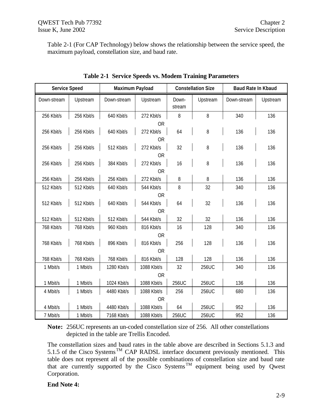Table 2-1 (For CAP Technology) below shows the relationship between the service speed, the maximum payload, constellation size, and baud rate.

| <b>Service Speed</b> |            | Maximum Payload |             |                 | <b>Constellation Size</b> | <b>Baud Rate In Kbaud</b> |          |
|----------------------|------------|-----------------|-------------|-----------------|---------------------------|---------------------------|----------|
| Down-stream          | Upstream   | Down-stream     | Upstream    | Down-<br>stream | Upstream                  | Down-stream               | Upstream |
| 256 Kbit/s           | 256 Kbit/s | 640 Kbit/s      | 272 Kbit/s  | 8               | 8                         | 340                       | 136      |
|                      |            |                 | <b>OR</b>   |                 |                           |                           |          |
| 256 Kbit/s           | 256 Kbit/s | 640 Kbit/s      | 272 Kbit/s  | 64              | 8                         | 136                       | 136      |
|                      |            |                 | <b>OR</b>   |                 |                           |                           |          |
| 256 Kbit/s           | 256 Kbit/s | 512 Kbit/s      | 272 Kbit/s  | 32              | 8                         | 136                       | 136      |
|                      |            |                 | <b>OR</b>   |                 |                           |                           |          |
| 256 Kbit/s           | 256 Kbit/s | 384 Kbit/s      | 272 Kbit/s  | 16              | 8                         | 136                       | 136      |
|                      |            |                 | <b>OR</b>   |                 |                           |                           |          |
| 256 Kbit/s           | 256 Kbit/s | 256 Kbit/s      | 272 Kbit/s  | 8               | 8                         | 136                       | 136      |
| 512 Kbit/s           | 512 Kbit/s | 640 Kbit/s      | 544 Kbit/s  | 8               | 32                        | 340                       | 136      |
|                      |            |                 | <b>OR</b>   |                 |                           |                           |          |
| 512 Kbit/s           | 512 Kbit/s | 640 Kbit/s      | 544 Kbit/s  | 64              | 32                        | 136                       | 136      |
|                      |            |                 | <b>OR</b>   |                 |                           |                           |          |
| 512 Kbit/s           | 512 Kbit/s | 512 Kbit/s      | 544 Kbit/s  | 32              | 32                        | 136                       | 136      |
| 768 Kbit/s           | 768 Kbit/s | 960 Kbit/s      | 816 Kbit/s  | 16              | 128                       | 340                       | 136      |
|                      |            |                 | <b>OR</b>   |                 |                           |                           |          |
| 768 Kbit/s           | 768 Kbit/s | 896 Kbit/s      | 816 Kbit/s  | 256             | 128                       | 136                       | 136      |
|                      |            |                 | <b>OR</b>   |                 |                           |                           |          |
| 768 Kbit/s           | 768 Kbit/s | 768 Kbit/s      | 816 Kbit/s  | 128             | 128                       | 136                       | 136      |
| 1 Mbit/s             | 1 Mbit/s   | 1280 Kbit/s     | 1088 Kbit/s | 32              | 256UC                     | 340                       | 136      |
| <b>OR</b>            |            |                 |             |                 |                           |                           |          |
| 1 Mbit/s             | 1 Mbit/s   | 1024 Kbit/s     | 1088 Kbit/s | 256UC           | 256UC                     | 136                       | 136      |
| 4 Mbit/s             | 1 Mbit/s   | 4480 Kbit/s     | 1088 Kbit/s | 256             | 256UC                     | 680                       | 136      |
|                      |            |                 | <b>OR</b>   |                 |                           |                           |          |
| 4 Mbit/s             | 1 Mbit/s   | 4480 Kbit/s     | 1088 Kbit/s | 64              | 256UC                     | 952                       | 136      |
| 7 Mbit/s             | 1 Mbit/s   | 7168 Kbit/s     | 1088 Kbit/s | 256UC           | 256UC                     | 952                       | 136      |

**Table 2-1 Service Speeds vs. Modem Training Parameters**

**Note:** 256UC represents an un-coded constellation size of 256. All other constellations depicted in the table are Trellis Encoded.

The constellation sizes and baud rates in the table above are described in Sections 5.1.3 and 5.1.5 of the Cisco Systems<sup>TM</sup> CAP RADSL interface document previously mentioned. This table does not represent all of the possible combinations of constellation size and baud rate that are currently supported by the Cisco Systems<sup>TM</sup> equipment being used by Qwest Corporation.

#### **End Note 4:**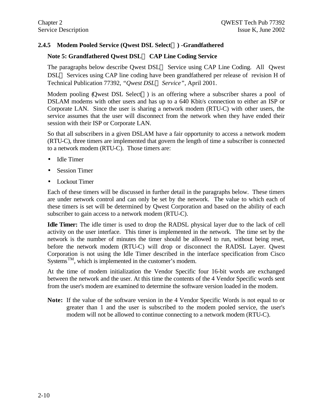## **2.4.5 Modem Pooled Service (Qwest DSL SelectÔ) -Grandfathered**

## **Note 5: Grandfathered Qwest DSLÔ CAP Line Coding Service**

The paragraphs below describe Qwest  $DSL^{TM}$  Service using CAP Line Coding. All Qwest  $DSL<sup>TM</sup>$  Services using CAP line coding have been grandfathered per release of revision H of Technical Publication 77392, *"Qwest DSLÔ Service"*, April 2001.

Modem pooling (Qwest DSL Select<sup> $TM$ </sup>) is an offering where a subscriber shares a pool of DSLAM modems with other users and has up to a 640 Kbit/s connection to either an ISP or Corporate LAN. Since the user is sharing a network modem (RTU-C) with other users, the service assumes that the user will disconnect from the network when they have ended their session with their ISP or Corporate LAN.

So that all subscribers in a given DSLAM have a fair opportunity to access a network modem (RTU-C), three timers are implemented that govern the length of time a subscriber is connected to a network modem (RTU-C). Those timers are:

- Idle Timer
- Session Timer
- Lockout Timer

Each of these timers will be discussed in further detail in the paragraphs below. These timers are under network control and can only be set by the network. The value to which each of these timers is set will be determined by Qwest Corporation and based on the ability of each subscriber to gain access to a network modem (RTU-C).

**Idle Timer:** The idle timer is used to drop the RADSL physical layer due to the lack of cell activity on the user interface. This timer is implemented in the network. The time set by the network is the number of minutes the timer should be allowed to run, without being reset, before the network modem (RTU-C) will drop or disconnect the RADSL Layer. Qwest Corporation is not using the Idle Timer described in the interface specification from Cisco Systems<sup>TM</sup>, which is implemented in the customer's modem.

At the time of modem initialization the Vendor Specific four 16-bit words are exchanged between the network and the user. At this time the contents of the 4 Vendor Specific words sent from the user's modem are examined to determine the software version loaded in the modem.

**Note:** If the value of the software version in the 4 Vendor Specific Words is not equal to or greater than 1 and the user is subscribed to the modem pooled service, the user's modem will not be allowed to continue connecting to a network modem (RTU-C).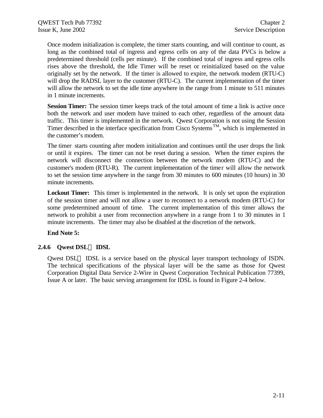Once modem initialization is complete, the timer starts counting, and will continue to count, as long as the combined total of ingress and egress cells on any of the data PVCs is below a predetermined threshold (cells per minute). If the combined total of ingress and egress cells rises above the threshold, the Idle Timer will be reset or reinitialized based on the value originally set by the network. If the timer is allowed to expire, the network modem (RTU-C) will drop the RADSL layer to the customer (RTU-C). The current implementation of the timer will allow the network to set the idle time anywhere in the range from 1 minute to 511 minutes in 1 minute increments.

**Session Timer:** The session timer keeps track of the total amount of time a link is active once both the network and user modem have trained to each other, regardless of the amount data traffic. This timer is implemented in the network. Qwest Corporation is not using the Session Timer described in the interface specification from Cisco Systems<sup>TM</sup>, which is implemented in the customer's modem.

The timer starts counting after modem initialization and continues until the user drops the link or until it expires. The timer can not be reset during a session. When the timer expires the network will disconnect the connection between the network modem (RTU-C) and the customer's modem (RTU-R). The current implementation of the timer will allow the network to set the session time anywhere in the range from 30 minutes to 600 minutes (10 hours) in 30 minute increments.

**Lockout Timer:** This timer is implemented in the network. It is only set upon the expiration of the session timer and will not allow a user to reconnect to a network modem (RTU-C) for some predetermined amount of time. The current implementation of this timer allows the network to prohibit a user from reconnection anywhere in a range from 1 to 30 minutes in 1 minute increments. The timer may also be disabled at the discretion of the network.

#### **End Note 5:**

#### **2.4.6 Qwest DSLÔ IDSL**

Qwest DSL<sup>TM</sup> IDSL is a service based on the physical layer transport technology of ISDN. The technical specifications of the physical layer will be the same as those for Qwest Corporation Digital Data Service 2-Wire in Qwest Corporation Technical Publication 77399, Issue A or later. The basic serving arrangement for IDSL is found in Figure 2-4 below.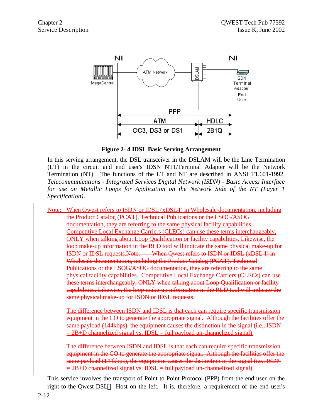

**Figure 2- 4 IDSL Basic Serving Arrangement**

In this serving arrangement, the DSL transceiver in the DSLAM will be the Line Termination (LT) in the circuit and end user's IDSN NT1/Terminal Adapter will be the Network Termination (NT). The functions of the LT and NT are described in ANSI T1.601-1992, *Telecommunications - Integrated Services Digital Network (ISDN) - Basic Access Interface for use on Metallic Loops for Application on the Network Side of the NT (Layer 1 Specification)*.

Note: When Qwest refers to ISDN or IDSL (xDSL-I) in Wholesale documentation, including the Product Catalog (PCAT), Technical Publications or the LSOG/ASOG documentation, they are referring to the same physical facility capabilities. Competitive Local Exchange Carriers (CLECs) can use these terms interchangeably, ONLY when talking about Loop Qualification or facility capabilities. Likewise, the loop make-up information in the RLD tool will indicate the same physical make-up for ISDN or IDSL requests.Note: When Qwest refers to ISDN or IDSL (xDSL-I) in Wholesale documentation, including the Product Catalog (PCAT), Technical Publications or the LSOG/ASOG documentation, they are referring to the same physical facility capabilities. Competitive Local Exchange Carriers (CLECs) can use these terms interchangeably, ONLY when talking about Loop Qualification or facility capabilities. Likewise, the loop make-up information in the RLD tool will indicate the same physical make up for ISDN or IDSL requests.

The difference between ISDN and IDSL is that each can require specific transmission equipment in the CO to generate the appropriate signal. Although the facilities offer the same payload (144kbps), the equipment causes the distinction in the signal (i.e., ISDN  $= 2B + D$  channelized signal vs. IDSL = full payload un-channelized signal).

The difference between ISDN and IDSL is that each can require specific transmission equipment in the CO to generate the appropriate signal. Although the facilities offer the same payload (144kbps), the equipment causes the distinction in the signal (i.e., ISDN  $= 2B + D$  channelized signal vs. IDSL = full payload un-channelized signal).

This service involves the transport of Point to Point Protocol (PPP) from the end user on the right to the Qwest DSL<sup>TM</sup> Host on the left. It is, therefore, a requirement of the end user's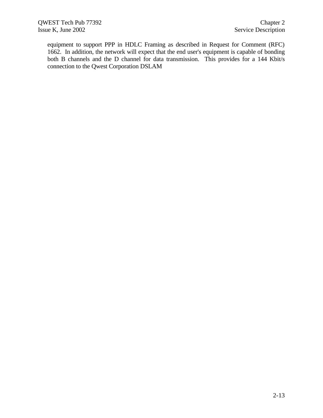equipment to support PPP in HDLC Framing as described in Request for Comment (RFC) 1662. In addition, the network will expect that the end user's equipment is capable of bonding both B channels and the D channel for data transmission. This provides for a 144 Kbit/s connection to the Qwest Corporation DSLAM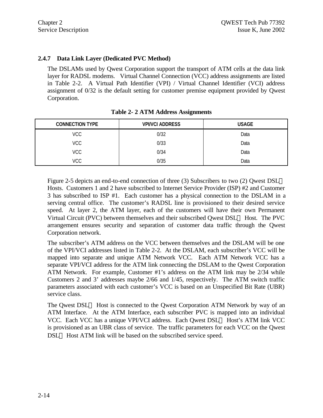#### **2.4.7 Data Link Layer (Dedicated PVC Method)**

The DSLAMs used by Qwest Corporation support the transport of ATM cells at the data link layer for RADSL modems. Virtual Channel Connection (VCC) address assignments are listed in Table 2-2. A Virtual Path Identifier (VPI) / Virtual Channel Identifier (VCI) address assignment of 0/32 is the default setting for customer premise equipment provided by Qwest Corporation.

| <b>CONNECTION TYPE</b> | <b>VPI/VCI ADDRESS</b> | <b>USAGE</b> |
|------------------------|------------------------|--------------|
| <b>VCC</b>             | 0/32                   | Data         |
| <b>VCC</b>             | 0/33                   | Data         |
| <b>VCC</b>             | 0/34                   | Data         |
| VCC                    | 0/35                   | Data         |

Figure 2-5 depicts an end-to-end connection of three (3) Subscribers to two (2) Owest  $DSL^{TM}$ Hosts. Customers 1 and 2 have subscribed to Internet Service Provider (ISP) #2 and Customer 3 has subscribed to ISP #1. Each customer has a physical connection to the DSLAM in a serving central office. The customer's RADSL line is provisioned to their desired service speed. At layer 2, the ATM layer, each of the customers will have their own Permanent Virtual Circuit (PVC) between themselves and their subscribed Qwest  $DSL^{TM}$  Host. The PVC arrangement ensures security and separation of customer data traffic through the Qwest Corporation network.

The subscriber's ATM address on the VCC between themselves and the DSLAM will be one of the VPI/VCI addresses listed in Table 2-2. At the DSLAM, each subscriber's VCC will be mapped into separate and unique ATM Network VCC. Each ATM Network VCC has a separate VPI/VCI address for the ATM link connecting the DSLAM to the Qwest Corporation ATM Network. For example, Customer #1's address on the ATM link may be 2/34 while Customers 2 and 3' addresses maybe 2/66 and 1/45, respectively. The ATM switch traffic parameters associated with each customer's VCC is based on an Unspecified Bit Rate (UBR) service class.

The Qwest  $DSL^{TM}$  Host is connected to the Qwest Corporation ATM Network by way of an ATM Interface. At the ATM Interface, each subscriber PVC is mapped into an individual VCC. Each VCC has a unique VPI/VCI address. Each Owest  $DSL^{TM}$  Host's ATM link VCC is provisioned as an UBR class of service. The traffic parameters for each VCC on the Qwest  $DSL<sup>TM</sup>$  Host ATM link will be based on the subscribed service speed.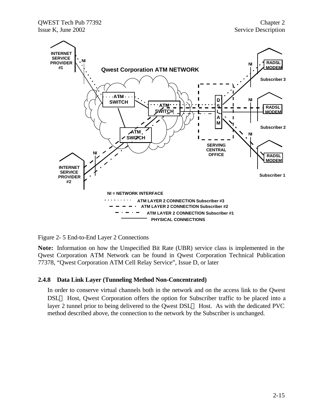

Figure 2- 5 End-to-End Layer 2 Connections

**Note:** Information on how the Unspecified Bit Rate (UBR) service class is implemented in the Qwest Corporation ATM Network can be found in Qwest Corporation Technical Publication 77378, "Qwest Corporation ATM Cell Relay Service", Issue D, or later

#### **2.4.8 Data Link Layer (Tunneling Method Non-Concentrated)**

In order to conserve virtual channels both in the network and on the access link to the Qwest DSL<sup>™</sup> Host, Qwest Corporation offers the option for Subscriber traffic to be placed into a layer 2 tunnel prior to being delivered to the Owest  $DSL^{TM}$  Host. As with the dedicated PVC method described above, the connection to the network by the Subscriber is unchanged.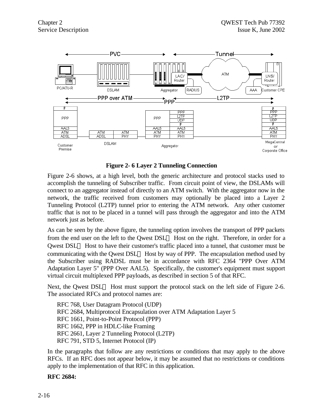

**Figure 2- 6 Layer 2 Tunneling Connection**

Figure 2-6 shows, at a high level, both the generic architecture and protocol stacks used to accomplish the tunneling of Subscriber traffic. From circuit point of view, the DSLAMs will connect to an aggregator instead of directly to an ATM switch. With the aggregator now in the network, the traffic received from customers may optionally be placed into a Layer 2 Tunneling Protocol (L2TP) tunnel prior to entering the ATM network. Any other customer traffic that is not to be placed in a tunnel will pass through the aggregator and into the ATM network just as before.

As can be seen by the above figure, the tunneling option involves the transport of PPP packets from the end user on the left to the Qwest DSL<sup>TM</sup> Host on the right. Therefore, in order for a Qwest DSL<sup>TM</sup> Host to have their customer's traffic placed into a tunnel, that customer must be communicating with the Owest DSL<sup>TM</sup> Host by way of PPP. The encapsulation method used by the Subscriber using RADSL must be in accordance with RFC 2364 "PPP Over ATM Adaptation Layer 5" (PPP Over AAL5). Specifically, the customer's equipment must support virtual circuit multiplexed PPP payloads, as described in section 5 of that RFC.

Next, the Qwest DSL<sup>TM</sup> Host must support the protocol stack on the left side of Figure 2-6. The associated RFCs and protocol names are:

RFC 768, User Datagram Protocol (UDP) RFC 2684, Multiprotocol Encapsulation over ATM Adaptation Layer 5 RFC 1661, Point-to-Point Protocol (PPP) RFC 1662, PPP in HDLC-like Framing RFC 2661, Layer 2 Tunneling Protocol (L2TP) RFC 791, STD 5, Internet Protocol (IP)

In the paragraphs that follow are any restrictions or conditions that may apply to the above RFCs. If an RFC does not appear below, it may be assumed that no restrictions or conditions apply to the implementation of that RFC in this application.

#### **RFC 2684:**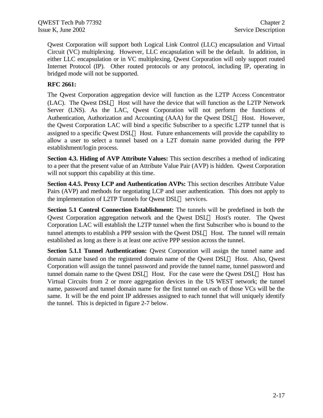Qwest Corporation will support both Logical Link Control (LLC) encapsulation and Virtual Circuit (VC) multiplexing. However, LLC encapsulation will be the default. In addition, in either LLC encapsulation or in VC multiplexing, Qwest Corporation will only support routed Internet Protocol (IP). Other routed protocols or any protocol, including IP, operating in bridged mode will not be supported.

#### **RFC 2661:**

The Qwest Corporation aggregation device will function as the L2TP Access Concentrator (LAC). The Owest  $DSL^{TM}$  Host will have the device that will function as the L2TP Network Server (LNS). As the LAC, Qwest Corporation will not perform the functions of Authentication, Authorization and Accounting (AAA) for the Qwest DSL<sup>TM</sup> Host. However, the Qwest Corporation LAC will bind a specific Subscriber to a specific L2TP tunnel that is assigned to a specific Qwest  $DSL^{TM}$  Host. Future enhancements will provide the capability to allow a user to select a tunnel based on a L2T domain name provided during the PPP establishment/login process.

**Section 4.3. Hiding of AVP Attribute Values:** This section describes a method of indicating to a peer that the present value of an Attribute Value Pair (AVP) is hidden. Qwest Corporation will not support this capability at this time.

**Section 4.4.5. Proxy LCP and Authentication AVPs:** This section describes Attribute Value Pairs (AVP) and methods for negotiating LCP and user authentication. This does not apply to the implementation of L2TP Tunnels for Qwest  $DSL^{TM}$  services.

**Section 5.1 Control Connection Establishment:** The tunnels will be predefined in both the Qwest Corporation aggregation network and the Qwest  $DSL<sup>TM</sup>$  Host's router. The Qwest Corporation LAC will establish the L2TP tunnel when the first Subscriber who is bound to the tunnel attempts to establish a PPP session with the Owest  $DSL^{TM}$  Host. The tunnel will remain established as long as there is at least one active PPP session across the tunnel.

**Section 5.1.1 Tunnel Authentication:** Qwest Corporation will assign the tunnel name and domain name based on the registered domain name of the Qwest DSL<sup>TM</sup> Host. Also, Qwest Corporation will assign the tunnel password and provide the tunnel name, tunnel password and tunnel domain name to the Owest DSL<sup>TM</sup> Host. For the case were the Owest DSL<sup>TM</sup> Host has Virtual Circuits from 2 or more aggregation devices in the US WEST network; the tunnel name, password and tunnel domain name for the first tunnel on each of those VCs will be the same. It will be the end point IP addresses assigned to each tunnel that will uniquely identify the tunnel. This is depicted in figure 2-7 below.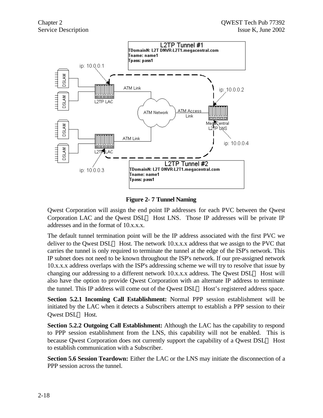

**Figure 2- 7 Tunnel Naming**

Qwest Corporation will assign the end point IP addresses for each PVC between the Qwest Corporation LAC and the Qwest DSL<sup>TM</sup> Host LNS. Those IP addresses will be private IP addresses and in the format of 10.x.x.x.

The default tunnel termination point will be the IP address associated with the first PVC we deliver to the Owest DSL<sup>TM</sup> Host. The network 10.x.x.x address that we assign to the PVC that carries the tunnel is only required to terminate the tunnel at the edge of the ISP's network. This IP subnet does not need to be known throughout the ISP's network. If our pre-assigned network 10.x.x.x address overlaps with the ISP's addressing scheme we will try to resolve that issue by changing our addressing to a different network 10.x.x.x address. The Owest  $DSL^{TM}$  Host will also have the option to provide Qwest Corporation with an alternate IP address to terminate the tunnel. This IP address will come out of the Owest DSL<sup>TM</sup> Host's registered address space.

**Section 5.2.1 Incoming Call Establishment:** Normal PPP session establishment will be initiated by the LAC when it detects a Subscribers attempt to establish a PPP session to their Owest DSL™ Host.

**Section 5.2.2 Outgoing Call Establishment:** Although the LAC has the capability to respond to PPP session establishment from the LNS, this capability will not be enabled. This is because Qwest Corporation does not currently support the capability of a Qwest  $DSL^{TM}$  Host to establish communication with a Subscriber.

**Section 5.6 Session Teardown:** Either the LAC or the LNS may initiate the disconnection of a PPP session across the tunnel.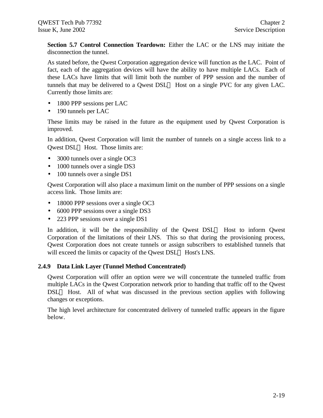**Section 5.7 Control Connection Teardown:** Either the LAC or the LNS may initiate the disconnection the tunnel.

As stated before, the Qwest Corporation aggregation device will function as the LAC. Point of fact, each of the aggregation devices will have the ability to have multiple LACs. Each of these LACs have limits that will limit both the number of PPP session and the number of tunnels that may be delivered to a Qwest  $DSL^{TM}$  Host on a single PVC for any given LAC. Currently those limits are:

- 1800 PPP sessions per LAC
- 190 tunnels per LAC

These limits may be raised in the future as the equipment used by Qwest Corporation is improved.

In addition, Qwest Corporation will limit the number of tunnels on a single access link to a Qwest DSL<sup>TM</sup> Host. Those limits are:

- 3000 tunnels over a single OC3
- 1000 tunnels over a single DS3
- 100 tunnels over a single DS1

Qwest Corporation will also place a maximum limit on the number of PPP sessions on a single access link. Those limits are:

- 18000 PPP sessions over a single OC3
- 6000 PPP sessions over a single DS3
- 223 PPP sessions over a single DS1

In addition, it will be the responsibility of the Owest  $DSL^{TM}$  Host to inform Owest Corporation of the limitations of their LNS. This so that during the provisioning process, Qwest Corporation does not create tunnels or assign subscribers to established tunnels that will exceed the limits or capacity of the Qwest DSL<sup>TM</sup> Host's LNS.

#### **2.4.9 Data Link Layer (Tunnel Method Concentrated)**

Qwest Corporation will offer an option were we will concentrate the tunneled traffic from multiple LACs in the Qwest Corporation network prior to handing that traffic off to the Qwest  $DSL<sup>TM</sup>$  Host. All of what was discussed in the previous section applies with following changes or exceptions.

The high level architecture for concentrated delivery of tunneled traffic appears in the figure below.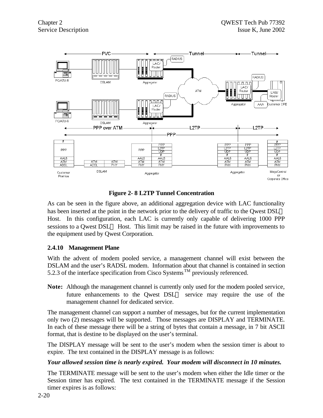

**Figure 2- 8 L2TP Tunnel Concentration**

As can be seen in the figure above, an additional aggregation device with LAC functionality has been inserted at the point in the network prior to the delivery of traffic to the Owest  $DSL^{TM}$ Host. In this configuration, each LAC is currently only capable of delivering 1000 PPP sessions to a Qwest DSL<sup>TM</sup> Host. This limit may be raised in the future with improvements to the equipment used by Qwest Corporation.

## **2.4.10 Management Plane**

With the advent of modem pooled service, a management channel will exist between the DSLAM and the user's RADSL modem. Information about that channel is contained in section 5.2.3 of the interface specification from Cisco Systems<sup>TM</sup> previously referenced.

**Note:** Although the management channel is currently only used for the modem pooled service, future enhancements to the Qwest  $DSL^{TM}$  service may require the use of the management channel for dedicated service.

The management channel can support a number of messages, but for the current implementation only two (2) messages will be supported. Those messages are DISPLAY and TERMINATE. In each of these message there will be a string of bytes that contain a message, in 7 bit ASCII format, that is destine to be displayed on the user's terminal.

The DISPLAY message will be sent to the user's modem when the session timer is about to expire. The text contained in the DISPLAY message is as follows:

#### *Your allowed session time is nearly expired. Your modem will disconnect in 10 minutes.*

The TERMINATE message will be sent to the user's modem when either the Idle timer or the Session timer has expired. The text contained in the TERMINATE message if the Session timer expires is as follows: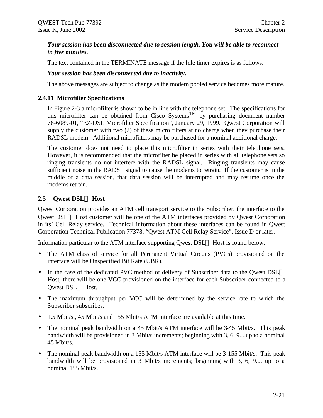#### *Your session has been disconnected due to session length. You will be able to reconnect in five minutes.*

The text contained in the TERMINATE message if the Idle timer expires is as follows:

#### *Your session has been disconnected due to inactivity.*

The above messages are subject to change as the modem pooled service becomes more mature.

#### **2.4.11 Microfilter Specifications**

In Figure 2-3 a microfilter is shown to be in line with the telephone set. The specifications for this microfilter can be obtained from Cisco Systems<sup>TM</sup> by purchasing document number 78-6089-01, "EZ-DSL Microfilter Specification", January 29, 1999. Qwest Corporation will supply the customer with two (2) of these micro filters at no charge when they purchase their RADSL modem. Additional microfilters may be purchased for a nominal additional charge.

The customer does not need to place this microfilter in series with their telephone sets. However, it is recommended that the microfilter be placed in series with all telephone sets so ringing transients do not interfere with the RADSL signal. Ringing transients may cause sufficient noise in the RADSL signal to cause the modems to retrain. If the customer is in the middle of a data session, that data session will be interrupted and may resume once the modems retrain.

#### **2.5 Qwest DSLÔ Host**

Qwest Corporation provides an ATM cell transport service to the Subscriber, the interface to the Qwest  $DSL<sup>TM</sup>$  Host customer will be one of the ATM interfaces provided by Qwest Corporation in its' Cell Relay service. Technical information about these interfaces can be found in Qwest Corporation Technical Publication 77378, "Qwest ATM Cell Relay Service", Issue D or later.

Information particular to the ATM interface supporting Owest  $\text{DSL}^{\text{TM}}$  Host is found below.

- The ATM class of service for all Permanent Virtual Circuits (PVCs) provisioned on the interface will be Unspecified Bit Rate (UBR).
- In the case of the dedicated PVC method of delivery of Subscriber data to the Qwest  $DSL^{TM}$ Host, there will be one VCC provisioned on the interface for each Subscriber connected to a Owest DSL™ Host.
- The maximum throughput per VCC will be determined by the service rate to which the Subscriber subscribes.
- 1.5 Mbit/s., 45 Mbit/s and 155 Mbit/s ATM interface are available at this time.
- The nominal peak bandwidth on a 45 Mbit/s ATM interface will be 3-45 Mbit/s. This peak bandwidth will be provisioned in 3 Mbit/s increments; beginning with 3, 6, 9....up to a nominal 45 Mbit/s.
- The nominal peak bandwidth on a 155 Mbit/s ATM interface will be 3-155 Mbit/s. This peak bandwidth will be provisioned in 3 Mbit/s increments; beginning with 3, 6, 9.... up to a nominal 155 Mbit/s.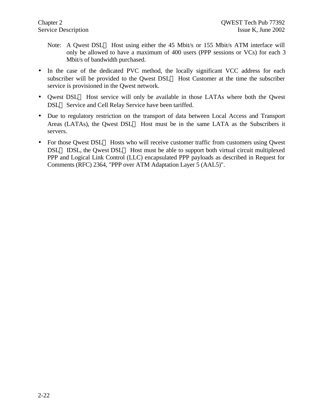- Note: A Qwest DSL<sup>TM</sup> Host using either the 45 Mbit/s or 155 Mbit/s ATM interface will only be allowed to have a maximum of 400 users (PPP sessions or VCs) for each 3 Mbit/s of bandwidth purchased.
- In the case of the dedicated PVC method, the locally significant VCC address for each subscriber will be provided to the Qwest  $DSL^{TM}$  Host Customer at the time the subscriber service is provisioned in the Qwest network.
- Owest DSL<sup>TM</sup> Host service will only be available in those LATAs where both the Owest DSL<sup>™</sup> Service and Cell Relay Service have been tariffed.
- Due to regulatory restriction on the transport of data between Local Access and Transport Areas (LATAs), the Qwest DSL<sup>TM</sup> Host must be in the same LATA as the Subscribers it servers.
- For those Qwest DSL<sup>TM</sup> Hosts who will receive customer traffic from customers using Qwest  $DSL^{TM}$  IDSL, the Qwest  $DSL^{TM}$  Host must be able to support both virtual circuit multiplexed PPP and Logical Link Control (LLC) encapsulated PPP payloads as described in Request for Comments (RFC) 2364, "PPP over ATM Adaptation Layer 5 (AAL5)".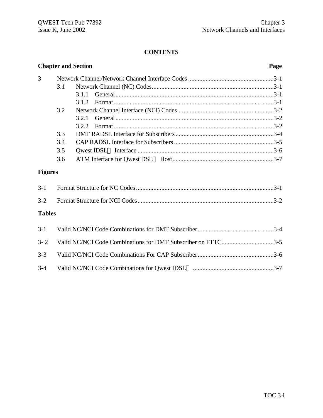## **CONTENTS**

|                |     | <b>Chapter and Section</b>                                   | Page |  |  |  |
|----------------|-----|--------------------------------------------------------------|------|--|--|--|
| 3              |     |                                                              |      |  |  |  |
|                | 3.1 |                                                              |      |  |  |  |
|                |     | 3.1.1                                                        |      |  |  |  |
|                |     | 3.1.2                                                        |      |  |  |  |
|                | 3.2 |                                                              |      |  |  |  |
|                |     | 3.2.1                                                        |      |  |  |  |
|                |     | 3.2.2                                                        |      |  |  |  |
|                | 3.3 |                                                              |      |  |  |  |
|                | 3.4 |                                                              |      |  |  |  |
|                | 3.5 |                                                              |      |  |  |  |
|                | 3.6 |                                                              |      |  |  |  |
| <b>Figures</b> |     |                                                              |      |  |  |  |
| $3 - 1$        |     |                                                              |      |  |  |  |
| $3 - 2$        |     |                                                              |      |  |  |  |
| <b>Tables</b>  |     |                                                              |      |  |  |  |
| $3 - 1$        |     |                                                              |      |  |  |  |
| $3 - 2$        |     | Valid NC/NCI Code Combinations for DMT Subscriber on FTTC3-5 |      |  |  |  |
| $3 - 3$        |     |                                                              |      |  |  |  |
| $3 - 4$        |     |                                                              |      |  |  |  |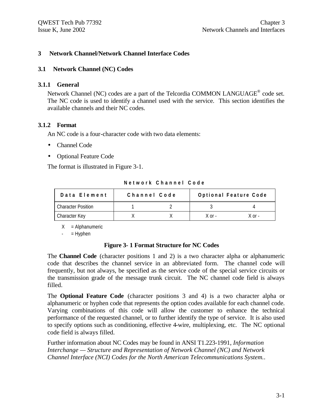#### **3 Network Channel/Network Channel Interface Codes**

#### **3.1 Network Channel (NC) Codes**

#### **3.1.1 General**

Network Channel (NC) codes are a part of the Telcordia COMMON LANGUAGE<sup>®</sup> code set. The NC code is used to identify a channel used with the service. This section identifies the available channels and their NC codes.

#### **3.1.2 Format**

An NC code is a four-character code with two data elements:

- Channel Code
- Optional Feature Code

The format is illustrated in Figure 3-1.

**Network Channel Code**

| Data Element              | Channel Code | Optional Feature Code |            |  |
|---------------------------|--------------|-----------------------|------------|--|
| <b>Character Position</b> |              |                       |            |  |
| Character Key             |              | $X$ or $-$            | $X$ or $-$ |  |

 $X =$  Alphanumeric

 $=$  Hyphen

#### **Figure 3- 1 Format Structure for NC Codes**

The **Channel Code** (character positions 1 and 2) is a two character alpha or alphanumeric code that describes the channel service in an abbreviated form. The channel code will frequently, but not always, be specified as the service code of the special service circuits or the transmission grade of the message trunk circuit. The NC channel code field is always filled.

The **Optional Feature Code** (character positions 3 and 4) is a two character alpha or alphanumeric or hyphen code that represents the option codes available for each channel code. Varying combinations of this code will allow the customer to enhance the technical performance of the requested channel, or to further identify the type of service. It is also used to specify options such as conditioning, effective 4-wire, multiplexing, etc. The NC optional code field is always filled.

Further information about NC Codes may be found in ANSI T1.223-1991, *Information Interchange — Structure and Representation of Network Channel (NC) and Network Channel Interface (NCI) Codes for the North American Telecommunications System.*.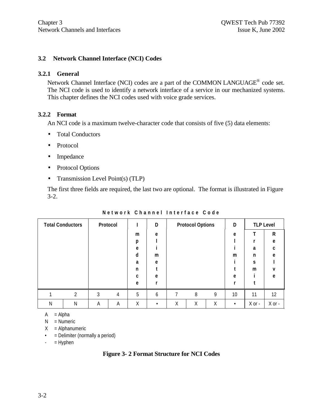#### **3.2 Network Channel Interface (NCI) Codes**

#### **3.2.1 General**

Network Channel Interface (NCI) codes are a part of the COMMON LANGUAGE® code set. The NCI code is used to identify a network interface of a service in our mechanized systems. This chapter defines the NCI codes used with voice grade services.

#### **3.2.2 Format**

An NCI code is a maximum twelve-character code that consists of five (5) data elements:

- Total Conductors
- Protocol
- Impedance
- Protocol Options
- Transmission Level Point(s) (TLP)

The first three fields are required, the last two are optional. The format is illustrated in Figure 3-2.

| <b>Total Conductors</b> |   |   | Protocol |   | D |   | <b>Protocol Options</b> |   | D         | <b>TLP Level</b> |            |
|-------------------------|---|---|----------|---|---|---|-------------------------|---|-----------|------------------|------------|
|                         |   |   |          | m | e |   |                         |   | e         |                  | ${\sf R}$  |
|                         |   |   |          | p |   |   |                         |   |           |                  | e          |
|                         |   |   |          | e |   |   |                         |   |           | a                | C          |
|                         |   |   |          | d | m |   |                         |   | m         | n                | e          |
|                         |   |   |          | a | e |   |                         |   |           | S                |            |
|                         |   |   |          | n |   |   |                         |   |           | m                | v          |
|                         |   |   |          | C | e |   |                         |   | e         |                  | e          |
|                         |   |   |          | e |   |   |                         |   | r         |                  |            |
|                         | 2 | 3 | 4        | 5 | 6 | ⇁ | 8                       | 9 | 10        | 11               | 12         |
| Ν                       | N | A | A        | Χ |   | Χ | Χ                       | Χ | $\bullet$ | $X$ or $-$       | $X$ or $-$ |

**Network Channel Interface Code**

 $A = Alpha$ 

N = Numeric

 $X =$  Alphanumeric

- = Delimiter (normally a period)
- $-$  = Hyphen

**Figure 3- 2 Format Structure for NCI Codes**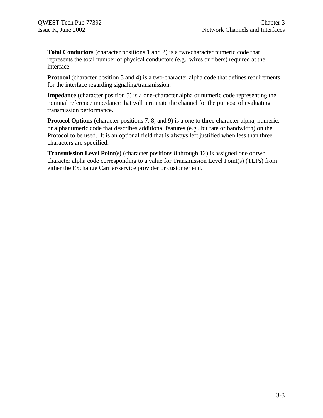**Total Conductors** (character positions 1 and 2) is a two-character numeric code that represents the total number of physical conductors (e.g., wires or fibers) required at the interface.

**Protocol** (character position 3 and 4) is a two-character alpha code that defines requirements for the interface regarding signaling/transmission.

**Impedance** (character position 5) is a one-character alpha or numeric code representing the nominal reference impedance that will terminate the channel for the purpose of evaluating transmission performance.

**Protocol Options** (character positions 7, 8, and 9) is a one to three character alpha, numeric, or alphanumeric code that describes additional features (e.g., bit rate or bandwidth) on the Protocol to be used. It is an optional field that is always left justified when less than three characters are specified.

**Transmission Level Point(s)** (character positions 8 through 12) is assigned one or two character alpha code corresponding to a value for Transmission Level Point(s) (TLPs) from either the Exchange Carrier/service provider or customer end.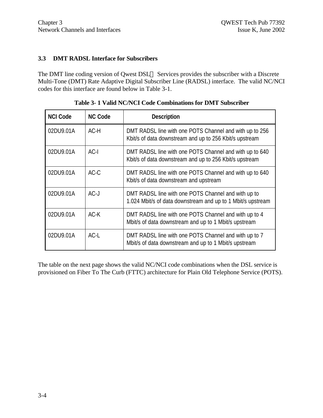#### **3.3 DMT RADSL Interface for Subscribers**

The DMT line coding version of Qwest  $DSL^{TM}$  Services provides the subscriber with a Discrete Multi-Tone (DMT) Rate Adaptive Digital Subscriber Line (RADSL) interface. The valid NC/NCI codes for this interface are found below in Table 3-1.

| <b>NCI Code</b> | <b>NC Code</b> | <b>Description</b>                                                                                                 |
|-----------------|----------------|--------------------------------------------------------------------------------------------------------------------|
| 02DU9.01A       | $AC-H$         | DMT RADSL line with one POTS Channel and with up to 256<br>Kbit/s of data downstream and up to 256 Kbit/s upstream |
| 02DU9.01A       | $AC-I$         | DMT RADSL line with one POTS Channel and with up to 640<br>Kbit/s of data downstream and up to 256 Kbit/s upstream |
| 02DU9.01A       | $AC-C$         | DMT RADSL line with one POTS Channel and with up to 640<br>Kbit/s of data downstream and upstream                  |
| 02DU9.01A       | $AC-J$         | DMT RADSL line with one POTS Channel and with up to<br>1.024 Mbit/s of data downstream and up to 1 Mbit/s upstream |
| 02DU9.01A       | $AC-K$         | DMT RADSL line with one POTS Channel and with up to 4<br>Mbit/s of data downstream and up to 1 Mbit/s upstream     |
| 02DU9.01A       | $AC-I$         | DMT RADSL line with one POTS Channel and with up to 7<br>Mbit/s of data downstream and up to 1 Mbit/s upstream     |

**Table 3- 1 Valid NC/NCI Code Combinations for DMT Subscriber**

The table on the next page shows the valid NC/NCI code combinations when the DSL service is provisioned on Fiber To The Curb (FTTC) architecture for Plain Old Telephone Service (POTS).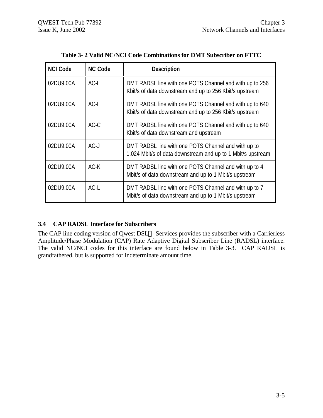| <b>NCI Code</b> | <b>NC Code</b> | <b>Description</b>                                                                                                 |
|-----------------|----------------|--------------------------------------------------------------------------------------------------------------------|
| 02DU9.00A       | AC-H           | DMT RADSL line with one POTS Channel and with up to 256<br>Kbit/s of data downstream and up to 256 Kbit/s upstream |
| 02DU9.00A       | $AC-I$         | DMT RADSL line with one POTS Channel and with up to 640<br>Kbit/s of data downstream and up to 256 Kbit/s upstream |
| 02DU9.00A       | $AC-C$         | DMT RADSL line with one POTS Channel and with up to 640<br>Kbit/s of data downstream and upstream                  |
| 02DU9.00A       | $AC-J$         | DMT RADSL line with one POTS Channel and with up to<br>1.024 Mbit/s of data downstream and up to 1 Mbit/s upstream |
| 02DU9.00A       | $AC-K$         | DMT RADSL line with one POTS Channel and with up to 4<br>Mbit/s of data downstream and up to 1 Mbit/s upstream     |
| 02DU9.00A       | $AC-L$         | DMT RADSL line with one POTS Channel and with up to 7<br>Mbit/s of data downstream and up to 1 Mbit/s upstream     |

**Table 3- 2 Valid NC/NCI Code Combinations for DMT Subscriber on FTTC**

## **3.4 CAP RADSL Interface for Subscribers**

The CAP line coding version of Qwest DSL<sup>TM</sup> Services provides the subscriber with a Carrierless Amplitude/Phase Modulation (CAP) Rate Adaptive Digital Subscriber Line (RADSL) interface. The valid NC/NCI codes for this interface are found below in Table 3-3. CAP RADSL is grandfathered, but is supported for indeterminate amount time.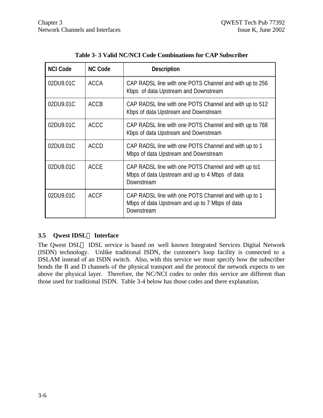| <b>NCI Code</b> | <b>NC Code</b> | <b>Description</b>                                                                                                    |
|-----------------|----------------|-----------------------------------------------------------------------------------------------------------------------|
| 02DU9.01C       | <b>ACCA</b>    | CAP RADSL line with one POTS Channel and with up to 256<br>Kbps of data Upstream and Downstream                       |
| 02DU9.01C       | <b>ACCB</b>    | CAP RADSL line with one POTS Channel and with up to 512<br>Kbps of data Upstream and Downstream                       |
| 02DU9.01C       | <b>ACCC</b>    | CAP RADSL line with one POTS Channel and with up to 768<br>Kbps of data Upstream and Downstream                       |
| 02DU9.01C       | <b>ACCD</b>    | CAP RADSL line with one POTS Channel and with up to 1<br>Mbps of data Upstream and Downstream                         |
| 02DU9.01C       | <b>ACCE</b>    | CAP RADSL line with one POTS Channel and with up to1<br>Mbps of data Upstream and up to 4 Mbps of data<br>Downstream  |
| 02DU9.01C       | <b>ACCF</b>    | CAP RADSL line with one POTS Channel and with up to 1<br>Mbps of data Upstream and up to 7 Mbps of data<br>Downstream |

**Table 3- 3 Valid NC/NCI Code Combinations for CAP Subscriber**

## **3.5 Qwest IDSLÔ Interface**

The Qwest DSL<sup>TM</sup> IDSL service is based on well known Integrated Services Digital Network (ISDN) technology. Unlike traditional ISDN, the customer's loop facility is connected to a DSLAM instead of an ISDN switch. Also, with this service we must specify how the subscriber bonds the B and D channels of the physical transport and the protocol the network expects to see above the physical layer. Therefore, the NC/NCI codes to order this service are different than those used for traditional ISDN. Table 3-4 below has those codes and there explanation.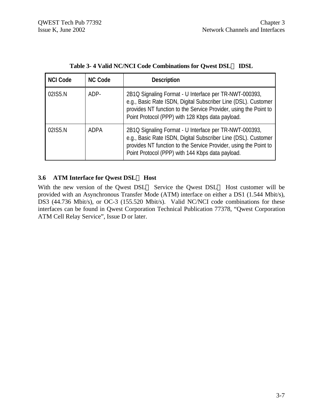| <b>NCI Code</b> | <b>NC Code</b> | <b>Description</b>                                                                                                                                                                                                                               |
|-----------------|----------------|--------------------------------------------------------------------------------------------------------------------------------------------------------------------------------------------------------------------------------------------------|
| 02IS5.N         | ADP-           | 2B1Q Signaling Format - U Interface per TR-NWT-000393,<br>e.g., Basic Rate ISDN, Digital Subscriber Line (DSL). Customer<br>provides NT function to the Service Provider, using the Point to<br>Point Protocol (PPP) with 128 Kbps data payload. |
| 02IS5.N         | <b>ADPA</b>    | 2B1Q Signaling Format - U Interface per TR-NWT-000393,<br>e.g., Basic Rate ISDN, Digital Subscriber Line (DSL). Customer<br>provides NT function to the Service Provider, using the Point to<br>Point Protocol (PPP) with 144 Kbps data payload. |

| Table 3-4 Valid NC/NCI Code Combinations for Qwest DSLO IDSL |  |  |
|--------------------------------------------------------------|--|--|
|--------------------------------------------------------------|--|--|

## **3.6 ATM Interface for Qwest DSLÔ Host**

With the new version of the Qwest DSL<sup>TM</sup> Service the Qwest DSL<sup>TM</sup> Host customer will be provided with an Asynchronous Transfer Mode (ATM) interface on either a DS1 (1.544 Mbit/s), DS3 (44.736 Mbit/s), or OC-3 (155.520 Mbit/s). Valid NC/NCI code combinations for these interfaces can be found in Qwest Corporation Technical Publication 77378, "Qwest Corporation ATM Cell Relay Service", Issue D or later.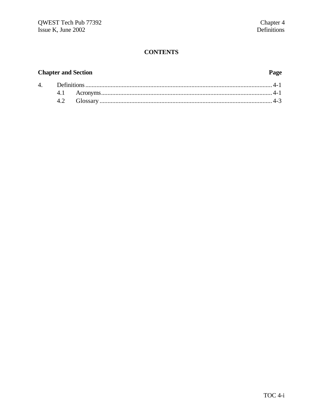## **CONTENTS**

## **Chapter and Section**

#### Page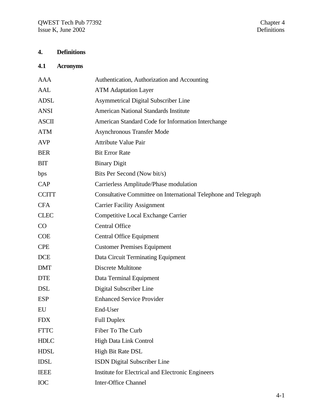## **4. Definitions**

# **4.1 Acronyms**

| <b>AAA</b>   | Authentication, Authorization and Accounting                    |
|--------------|-----------------------------------------------------------------|
| <b>AAL</b>   | <b>ATM Adaptation Layer</b>                                     |
| <b>ADSL</b>  | <b>Asymmetrical Digital Subscriber Line</b>                     |
| <b>ANSI</b>  | <b>American National Standards Institute</b>                    |
| <b>ASCII</b> | American Standard Code for Information Interchange              |
| <b>ATM</b>   | <b>Asynchronous Transfer Mode</b>                               |
| <b>AVP</b>   | <b>Attribute Value Pair</b>                                     |
| <b>BER</b>   | <b>Bit Error Rate</b>                                           |
| <b>BIT</b>   | <b>Binary Digit</b>                                             |
| bps          | Bits Per Second (Now bit/s)                                     |
| CAP          | Carrierless Amplitude/Phase modulation                          |
| <b>CCITT</b> | Consultative Committee on International Telephone and Telegraph |
| <b>CFA</b>   | <b>Carrier Facility Assignment</b>                              |
| <b>CLEC</b>  | Competitive Local Exchange Carrier                              |
| CO           | <b>Central Office</b>                                           |
| <b>COE</b>   | <b>Central Office Equipment</b>                                 |
| <b>CPE</b>   | <b>Customer Premises Equipment</b>                              |
| <b>DCE</b>   | Data Circuit Terminating Equipment                              |
| <b>DMT</b>   | Discrete Multitone                                              |
| <b>DTE</b>   | Data Terminal Equipment                                         |
| <b>DSL</b>   | Digital Subscriber Line                                         |
| <b>ESP</b>   | <b>Enhanced Service Provider</b>                                |
| EU           | End-User                                                        |
| <b>FDX</b>   | <b>Full Duplex</b>                                              |
| <b>FTTC</b>  | Fiber To The Curb                                               |
| <b>HDLC</b>  | <b>High Data Link Control</b>                                   |
| <b>HDSL</b>  | High Bit Rate DSL                                               |
| <b>IDSL</b>  | <b>ISDN</b> Digital Subscriber Line                             |
| <b>IEEE</b>  | Institute for Electrical and Electronic Engineers               |
| IOC          | <b>Inter-Office Channel</b>                                     |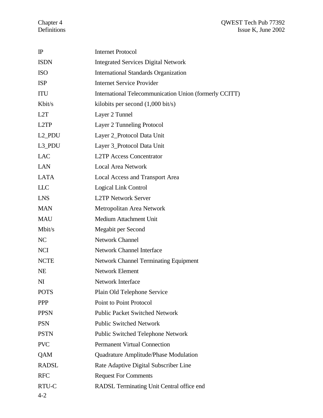#### Chapter 4 QWEST Tech Pub 77392 Definitions Issue K, June 2002

| $\mathbb{P}$       | <b>Internet Protocol</b>                               |
|--------------------|--------------------------------------------------------|
| <b>ISDN</b>        | <b>Integrated Services Digital Network</b>             |
| <b>ISO</b>         | <b>International Standards Organization</b>            |
| <b>ISP</b>         | <b>Internet Service Provider</b>                       |
| <b>ITU</b>         | International Telecommunication Union (formerly CCITT) |
| Kbit/s             | kilobits per second $(1,000 \text{ bit/s})$            |
| L2T                | Layer 2 Tunnel                                         |
| L <sub>2</sub> TP  | Layer 2 Tunneling Protocol                             |
| L <sub>2_PDU</sub> | Layer 2_Protocol Data Unit                             |
| L3_PDU             | Layer 3_Protocol Data Unit                             |
| <b>LAC</b>         | <b>L2TP Access Concentrator</b>                        |
| <b>LAN</b>         | <b>Local Area Network</b>                              |
| <b>LATA</b>        | <b>Local Access and Transport Area</b>                 |
| <b>LLC</b>         | Logical Link Control                                   |
| <b>LNS</b>         | <b>L2TP Network Server</b>                             |
| <b>MAN</b>         | Metropolitan Area Network                              |
| <b>MAU</b>         | Medium Attachment Unit                                 |
| Mbit/s             | Megabit per Second                                     |
| NC                 | Network Channel                                        |
| <b>NCI</b>         | <b>Network Channel Interface</b>                       |
| <b>NCTE</b>        | <b>Network Channel Terminating Equipment</b>           |
| <b>NE</b>          | Network Element                                        |
| NI                 | <b>Network Interface</b>                               |
| <b>POTS</b>        | Plain Old Telephone Service                            |
| <b>PPP</b>         | <b>Point to Point Protocol</b>                         |
| <b>PPSN</b>        | <b>Public Packet Switched Network</b>                  |
| <b>PSN</b>         | <b>Public Switched Network</b>                         |
| <b>PSTN</b>        | <b>Public Switched Telephone Network</b>               |
| <b>PVC</b>         | <b>Permanent Virtual Connection</b>                    |
| QAM                | Quadrature Amplitude/Phase Modulation                  |
| <b>RADSL</b>       | Rate Adaptive Digital Subscriber Line                  |
| <b>RFC</b>         | <b>Request For Comments</b>                            |
| RTU-C              | RADSL Terminating Unit Central office end              |
| $4 - 2$            |                                                        |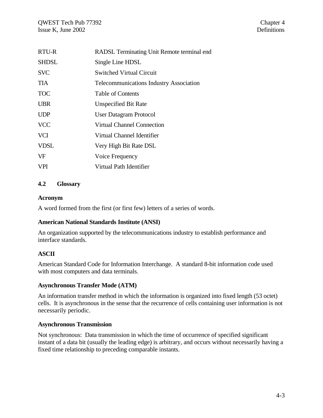| RTU-R        | RADSL Terminating Unit Remote terminal end     |
|--------------|------------------------------------------------|
| <b>SHDSL</b> | Single Line HDSL                               |
| <b>SVC</b>   | <b>Switched Virtual Circuit</b>                |
| <b>TIA</b>   | <b>Telecommunications Industry Association</b> |
| <b>TOC</b>   | Table of Contents                              |
| <b>UBR</b>   | Unspecified Bit Rate                           |
| <b>UDP</b>   | <b>User Datagram Protocol</b>                  |
| <b>VCC</b>   | <b>Virtual Channel Connection</b>              |
| <b>VCI</b>   | Virtual Channel Identifier                     |
| <b>VDSL</b>  | Very High Bit Rate DSL                         |
| VF           | Voice Frequency                                |
| <b>VPI</b>   | Virtual Path Identifier                        |

#### **4.2 Glossary**

#### **Acronym**

A word formed from the first (or first few) letters of a series of words.

#### **American National Standards Institute (ANSI)**

An organization supported by the telecommunications industry to establish performance and interface standards.

## **ASCII**

American Standard Code for Information Interchange. A standard 8-bit information code used with most computers and data terminals.

#### **Asynchronous Transfer Mode (ATM)**

An information transfer method in which the information is organized into fixed length (53 octet) cells. It is asynchronous in the sense that the recurrence of cells containing user information is not necessarily periodic.

#### **Asynchronous Transmission**

Not synchronous: Data transmission in which the time of occurrence of specified significant instant of a data bit (usually the leading edge) is arbitrary, and occurs without necessarily having a fixed time relationship to preceding comparable instants.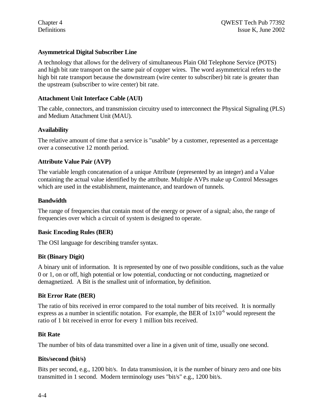#### **Asymmetrical Digital Subscriber Line**

A technology that allows for the delivery of simultaneous Plain Old Telephone Service (POTS) and high bit rate transport on the same pair of copper wires. The word asymmetrical refers to the high bit rate transport because the downstream (wire center to subscriber) bit rate is greater than the upstream (subscriber to wire center) bit rate.

#### **Attachment Unit Interface Cable (AUI)**

The cable, connectors, and transmission circuitry used to interconnect the Physical Signaling (PLS) and Medium Attachment Unit (MAU).

#### **Availability**

The relative amount of time that a service is "usable" by a customer, represented as a percentage over a consecutive 12 month period.

#### **Attribute Value Pair (AVP)**

The variable length concatenation of a unique Attribute (represented by an integer) and a Value containing the actual value identified by the attribute. Multiple AVPs make up Control Messages which are used in the establishment, maintenance, and teardown of tunnels.

#### **Bandwidth**

The range of frequencies that contain most of the energy or power of a signal; also, the range of frequencies over which a circuit of system is designed to operate.

#### **Basic Encoding Rules (BER)**

The OSI language for describing transfer syntax.

#### **Bit (Binary Digit)**

A binary unit of information. It is represented by one of two possible conditions, such as the value 0 or 1, on or off, high potential or low potential, conducting or not conducting, magnetized or demagnetized. A Bit is the smallest unit of information, by definition.

#### **Bit Error Rate (BER)**

The ratio of bits received in error compared to the total number of bits received. It is normally express as a number in scientific notation. For example, the BER of  $1x10^{-6}$  would represent the ratio of 1 bit received in error for every 1 million bits received.

#### **Bit Rate**

The number of bits of data transmitted over a line in a given unit of time, usually one second.

#### **Bits/second (bit/s)**

Bits per second, e.g., 1200 bit/s. In data transmission, it is the number of binary zero and one bits transmitted in 1 second. Modern terminology uses "bit/s" e.g., 1200 bit/s.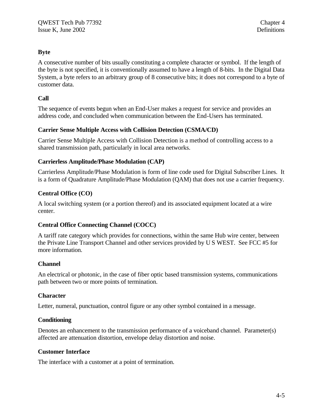## **Byte**

A consecutive number of bits usually constituting a complete character or symbol. If the length of the byte is not specified, it is conventionally assumed to have a length of 8-bits. In the Digital Data System, a byte refers to an arbitrary group of 8 consecutive bits; it does not correspond to a byte of customer data.

#### **Call**

The sequence of events begun when an End-User makes a request for service and provides an address code, and concluded when communication between the End-Users has terminated.

#### **Carrier Sense Multiple Access with Collision Detection (CSMA/CD)**

Carrier Sense Multiple Access with Collision Detection is a method of controlling access to a shared transmission path, particularly in local area networks.

#### **Carrierless Amplitude/Phase Modulation (CAP)**

Carrierless Amplitude/Phase Modulation is form of line code used for Digital Subscriber Lines. It is a form of Quadrature Amplitude/Phase Modulation (QAM) that does not use a carrier frequency.

#### **Central Office (CO)**

A local switching system (or a portion thereof) and its associated equipment located at a wire center.

#### **Central Office Connecting Channel (COCC)**

A tariff rate category which provides for connections, within the same Hub wire center, between the Private Line Transport Channel and other services provided by U S WEST. See FCC #5 for more information.

#### **Channel**

An electrical or photonic, in the case of fiber optic based transmission systems, communications path between two or more points of termination.

#### **Character**

Letter, numeral, punctuation, control figure or any other symbol contained in a message.

#### **Conditioning**

Denotes an enhancement to the transmission performance of a voiceband channel. Parameter(s) affected are attenuation distortion, envelope delay distortion and noise.

#### **Customer Interface**

The interface with a customer at a point of termination.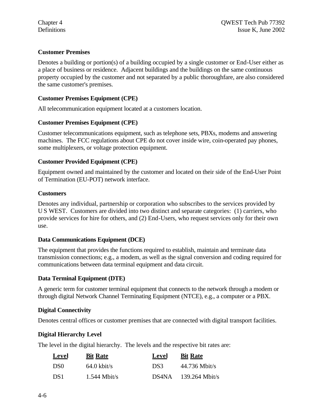## **Customer Premises**

Denotes a building or portion(s) of a building occupied by a single customer or End-User either as a place of business or residence. Adjacent buildings and the buildings on the same continuous property occupied by the customer and not separated by a public thoroughfare, are also considered the same customer's premises.

#### **Customer Premises Equipment (CPE)**

All telecommunication equipment located at a customers location.

#### **Customer Premises Equipment (CPE)**

Customer telecommunications equipment, such as telephone sets, PBXs, modems and answering machines. The FCC regulations about CPE do not cover inside wire, coin-operated pay phones, some multiplexers, or voltage protection equipment.

#### **Customer Provided Equipment (CPE)**

Equipment owned and maintained by the customer and located on their side of the End-User Point of Termination (EU-POT) network interface.

#### **Customers**

Denotes any individual, partnership or corporation who subscribes to the services provided by U S WEST. Customers are divided into two distinct and separate categories: (1) carriers, who provide services for hire for others, and (2) End-Users, who request services only for their own use.

## **Data Communications Equipment (DCE)**

The equipment that provides the functions required to establish, maintain and terminate data transmission connections; e.g., a modem, as well as the signal conversion and coding required for communications between data terminal equipment and data circuit.

## **Data Terminal Equipment (DTE)**

A generic term for customer terminal equipment that connects to the network through a modem or through digital Network Channel Terminating Equipment (NTCE), e.g., a computer or a PBX.

## **Digital Connectivity**

Denotes central offices or customer premises that are connected with digital transport facilities.

## **Digital Hierarchy Level**

The level in the digital hierarchy. The levels and the respective bit rates are:

| Level           | <b>Bit Rate</b>       | Level | <b>Bit Rate</b>  |
|-----------------|-----------------------|-------|------------------|
| DS <sub>0</sub> | $64.0 \text{ kbit/s}$ | DS3   | $44.736$ Mbit/s  |
| DS1             | $1.544$ Mbit/s        | DS4NA | $139.264$ Mbit/s |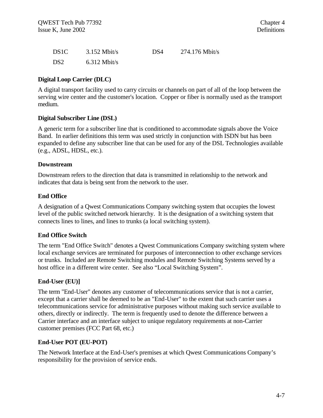| DS <sub>1</sub> C | $3.152$ Mbit/s | DS4 | $274.176$ Mbit/s |
|-------------------|----------------|-----|------------------|
| DS <sub>2</sub>   | $6.312$ Mbit/s |     |                  |

#### **Digital Loop Carrier (DLC)**

A digital transport facility used to carry circuits or channels on part of all of the loop between the serving wire center and the customer's location. Copper or fiber is normally used as the transport medium.

#### **Digital Subscriber Line (DSL)**

A generic term for a subscriber line that is conditioned to accommodate signals above the Voice Band. In earlier definitions this term was used strictly in conjunction with ISDN but has been expanded to define any subscriber line that can be used for any of the DSL Technologies available (e.g., ADSL, HDSL, etc.).

#### **Downstream**

Downstream refers to the direction that data is transmitted in relationship to the network and indicates that data is being sent from the network to the user.

#### **End Office**

A designation of a Qwest Communications Company switching system that occupies the lowest level of the public switched network hierarchy. It is the designation of a switching system that connects lines to lines, and lines to trunks (a local switching system).

#### **End Office Switch**

The term "End Office Switch" denotes a Qwest Communications Company switching system where local exchange services are terminated for purposes of interconnection to other exchange services or trunks. Included are Remote Switching modules and Remote Switching Systems served by a host office in a different wire center. See also "Local Switching System".

#### **End-User (EU)]**

The term "End-User" denotes any customer of telecommunications service that is not a carrier, except that a carrier shall be deemed to be an "End-User" to the extent that such carrier uses a telecommunications service for administrative purposes without making such service available to others, directly or indirectly. The term is frequently used to denote the difference between a Carrier interface and an interface subject to unique regulatory requirements at non-Carrier customer premises (FCC Part 68, etc.)

#### **End-User POT (EU-POT)**

The Network Interface at the End-User's premises at which Qwest Communications Company's responsibility for the provision of service ends.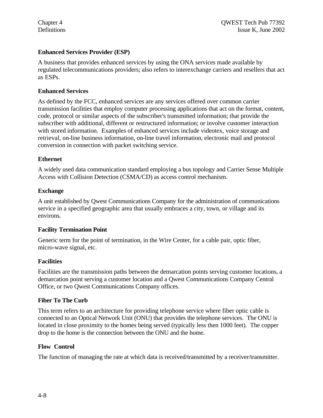#### **Enhanced Services Provider (ESP)**

A business that provides enhanced services by using the ONA services made available by regulated telecommunications providers; also refers to interexchange carriers and resellers that act as ESPs.

#### **Enhanced Services**

As defined by the FCC, enhanced services are any services offered over common carrier transmission facilities that employ computer processing applications that act on the format, content, code, protocol or similar aspects of the subscriber's transmitted information; that provide the subscriber with additional, different or restructured information; or involve customer interaction with stored information. Examples of enhanced services include videotex, voice storage and retrieval, on-line business information, on-line travel information, electronic mail and protocol conversion in connection with packet switching service.

#### **Ethernet**

A widely used data communication standard employing a bus topology and Carrier Sense Multiple Access with Collision Detection (CSMA/CD) as access control mechanism.

#### **Exchange**

A unit established by Qwest Communications Company for the administration of communications service in a specified geographic area that usually embraces a city, town, or village and its environs.

#### **Facility Termination Point**

Generic term for the point of termination, in the Wire Center, for a cable pair, optic fiber, micro-wave signal, etc.

#### **Facilities**

Facilities are the transmission paths between the demarcation points serving customer locations, a demarcation point serving a customer location and a Qwest Communications Company Central Office, or two Qwest Communications Company offices.

#### **Fiber To The Curb**

This term refers to an architecture for providing telephone service where fiber optic cable is connected to an Optical Network Unit (ONU) that provides the telephone services. The ONU is located in close proximity to the homes being served (typically less then 1000 feet). The copper drop to the home is the connection between the ONU and the home.

#### **Flow Control**

The function of managing the rate at which data is received/transmitted by a receiver/transmitter.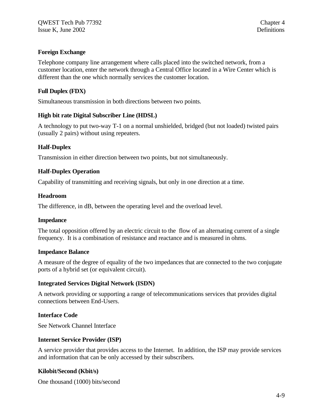#### **Foreign Exchange**

Telephone company line arrangement where calls placed into the switched network, from a customer location, enter the network through a Central Office located in a Wire Center which is different than the one which normally services the customer location.

#### **Full Duplex (FDX)**

Simultaneous transmission in both directions between two points.

#### **High bit rate Digital Subscriber Line (HDSL)**

A technology to put two-way T-1 on a normal unshielded, bridged (but not loaded) twisted pairs (usually 2 pairs) without using repeaters.

#### **Half-Duplex**

Transmission in either direction between two points, but not simultaneously.

#### **Half-Duplex Operation**

Capability of transmitting and receiving signals, but only in one direction at a time.

#### **Headroom**

The difference, in dB, between the operating level and the overload level.

#### **Impedance**

The total opposition offered by an electric circuit to the flow of an alternating current of a single frequency. It is a combination of resistance and reactance and is measured in ohms.

#### **Impedance Balance**

A measure of the degree of equality of the two impedances that are connected to the two conjugate ports of a hybrid set (or equivalent circuit).

#### **Integrated Services Digital Network (ISDN)**

A network providing or supporting a range of telecommunications services that provides digital connections between End-Users.

#### **Interface Code**

See Network Channel Interface

#### **Internet Service Provider (ISP)**

A service provider that provides access to the Internet. In addition, the ISP may provide services and information that can be only accessed by their subscribers.

#### **Kilobit/Second (Kbit/s)**

One thousand (1000) bits/second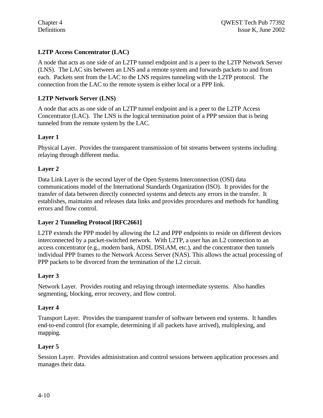## **L2TP Access Concentrator (LAC)**

A node that acts as one side of an L2TP tunnel endpoint and is a peer to the L2TP Network Server (LNS). The LAC sits between an LNS and a remote system and forwards packets to and from each. Packets sent from the LAC to the LNS requires tunneling with the L2TP protocol. The connection from the LAC to the remote system is either local or a PPP link.

## **L2TP Network Server (LNS)**

A node that acts as one side of an L2TP tunnel endpoint and is a peer to the L2TP Access Concentrator (LAC). The LNS is the logical termination point of a PPP session that is being tunneled from the remote system by the LAC.

#### **Layer 1**

Physical Layer. Provides the transparent transmission of bit streams between systems including relaying through different media.

#### **Layer 2**

Data Link Layer is the second layer of the Open Systems Interconnection (OSI) data communications model of the International Standards Organization (ISO). It provides for the transfer of data between directly connected systems and detects any errors in the transfer. It establishes, maintains and releases data links and provides procedures and methods for handling errors and flow control.

#### **Layer 2 Tunneling Protocol [RFC2661]**

L2TP extends the PPP model by allowing the L2 and PPP endpoints to reside on different devices interconnected by a packet-switched network. With L2TP, a user has an L2 connection to an access concentrator (e.g., modem bank, ADSL DSLAM, etc.), and the concentrator then tunnels individual PPP frames to the Network Access Server (NAS). This allows the actual processing of PPP packets to be divorced from the termination of the L2 circuit.

#### **Layer 3**

Network Layer. Provides routing and relaying through intermediate systems. Also handles segmenting, blocking, error recovery, and flow control.

#### **Layer 4**

Transport Layer. Provides the transparent transfer of software between end systems. It handles end-to-end control (for example, determining if all packets have arrived), multiplexing, and mapping.

#### **Layer 5**

Session Layer. Provides administration and control sessions between application processes and manages their data.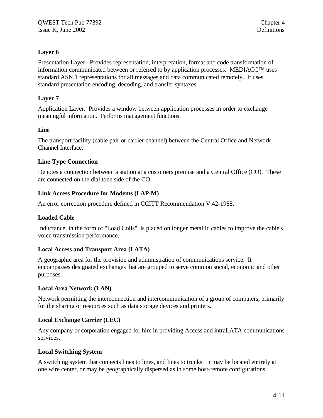#### **Layer 6**

Presentation Layer. Provides representation, interpretation, format and code transformation of information communicated between or referred to by application processes. MEDIACC™ uses standard ASN.1 representations for all messages and data communicated remotely. It uses standard presentation encoding, decoding, and transfer syntaxes.

#### **Layer 7**

Application Layer. Provides a window between application processes in order to exchange meaningful information. Performs management functions.

#### **Line**

The transport facility (cable pair or carrier channel) between the Central Office and Network Channel Interface.

#### **Line-Type Connection**

Denotes a connection between a station at a customers premise and a Central Office (CO). These are connected on the dial tone side of the CO.

#### **Link Access Procedure for Modems (LAP-M)**

An error correction procedure defined in CCITT Recommendation V.42-1988.

#### **Loaded Cable**

Inductance, in the form of "Load Coils", is placed on longer metallic cables to improve the cable's voice transmission performance.

#### **Local Access and Transport Area (LATA)**

A geographic area for the provision and administration of communications service. It encompasses designated exchanges that are grouped to serve common social, economic and other purposes.

#### **Local Area Network (LAN)**

Network permitting the interconnection and intercommunication of a group of computers, primarily for the sharing or resources such as data storage devices and printers.

#### **Local Exchange Carrier (LEC)**

Any company or corporation engaged for hire in providing Access and intraLATA communications services.

#### **Local Switching System**

A switching system that connects lines to lines, and lines to trunks. It may be located entirely at one wire center, or may be geographically dispersed as in some host-remote configurations.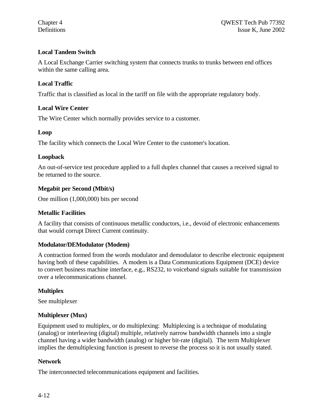#### **Local Tandem Switch**

A Local Exchange Carrier switching system that connects trunks to trunks between end offices within the same calling area.

## **Local Traffic**

Traffic that is classified as local in the tariff on file with the appropriate regulatory body.

#### **Local Wire Center**

The Wire Center which normally provides service to a customer.

#### **Loop**

The facility which connects the Local Wire Center to the customer's location.

#### **Loopback**

An out-of-service test procedure applied to a full duplex channel that causes a received signal to be returned to the source.

#### **Megabit per Second (Mbit/s)**

One million (1,000,000) bits per second

#### **Metallic Facilities**

A facility that consists of continuous metallic conductors, i.e., devoid of electronic enhancements that would corrupt Direct Current continuity.

#### **Modulator/DEModulator (Modem)**

A contraction formed from the words modulator and demodulator to describe electronic equipment having both of these capabilities. A modem is a Data Communications Equipment (DCE) device to convert business machine interface, e.g., RS232, to voiceband signals suitable for transmission over a telecommunications channel.

#### **Multiplex**

See multiplexer

#### **Multiplexer (Mux)**

Equipment used to multiplex, or do multiplexing: Multiplexing is a technique of modulating (analog) or interleaving (digital) multiple, relatively narrow bandwidth channels into a single channel having a wider bandwidth (analog) or higher bit-rate (digital). The term Multiplexer implies the demultiplexing function is present to reverse the process so it is not usually stated.

#### **Network**

The interconnected telecommunications equipment and facilities.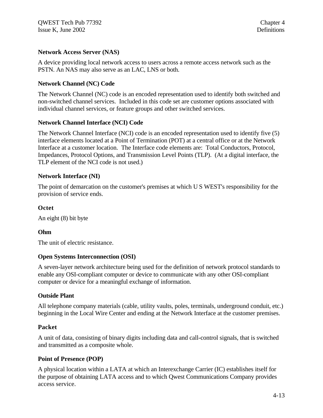#### **Network Access Server (NAS)**

A device providing local network access to users across a remote access network such as the PSTN. An NAS may also serve as an LAC, LNS or both.

#### **Network Channel (NC) Code**

The Network Channel (NC) code is an encoded representation used to identify both switched and non-switched channel services. Included in this code set are customer options associated with individual channel services, or feature groups and other switched services.

#### **Network Channel Interface (NCI) Code**

The Network Channel Interface (NCI) code is an encoded representation used to identify five (5) interface elements located at a Point of Termination (POT) at a central office or at the Network Interface at a customer location. The Interface code elements are: Total Conductors, Protocol, Impedances, Protocol Options, and Transmission Level Points (TLP). (At a digital interface, the TLP element of the NCI code is not used.)

#### **Network Interface (NI)**

The point of demarcation on the customer's premises at which U S WEST's responsibility for the provision of service ends.

#### **Octet**

An eight (8) bit byte

#### **Ohm**

The unit of electric resistance.

#### **Open Systems Interconnection (OSI)**

A seven-layer network architecture being used for the definition of network protocol standards to enable any OSI-compliant computer or device to communicate with any other OSI-compliant computer or device for a meaningful exchange of information.

#### **Outside Plant**

All telephone company materials (cable, utility vaults, poles, terminals, underground conduit, etc.) beginning in the Local Wire Center and ending at the Network Interface at the customer premises.

#### **Packet**

A unit of data, consisting of binary digits including data and call-control signals, that is switched and transmitted as a composite whole.

#### **Point of Presence (POP)**

A physical location within a LATA at which an Interexchange Carrier (IC) establishes itself for the purpose of obtaining LATA access and to which Qwest Communications Company provides access service.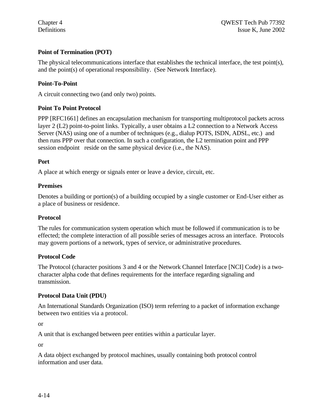## **Point of Termination (POT)**

The physical telecommunications interface that establishes the technical interface, the test point(s), and the point(s) of operational responsibility. (See Network Interface).

#### **Point-To-Point**

A circuit connecting two (and only two) points.

#### **Point To Point Protocol**

PPP [RFC1661] defines an encapsulation mechanism for transporting multiprotocol packets across layer 2 (L2) point-to-point links. Typically, a user obtains a L2 connection to a Network Access Server (NAS) using one of a number of techniques (e.g., dialup POTS, ISDN, ADSL, etc.) and then runs PPP over that connection. In such a configuration, the L2 termination point and PPP session endpoint reside on the same physical device (i.e., the NAS).

#### **Port**

A place at which energy or signals enter or leave a device, circuit, etc.

#### **Premises**

Denotes a building or portion(s) of a building occupied by a single customer or End-User either as a place of business or residence.

#### **Protocol**

The rules for communication system operation which must be followed if communication is to be effected; the complete interaction of all possible series of messages across an interface. Protocols may govern portions of a network, types of service, or administrative procedures.

#### **Protocol Code**

The Protocol (character positions 3 and 4 or the Network Channel Interface [NCI] Code) is a twocharacter alpha code that defines requirements for the interface regarding signaling and transmission.

#### **Protocol Data Unit (PDU)**

An International Standards Organization (ISO) term referring to a packet of information exchange between two entities via a protocol.

or

A unit that is exchanged between peer entities within a particular layer.

or

A data object exchanged by protocol machines, usually containing both protocol control information and user data.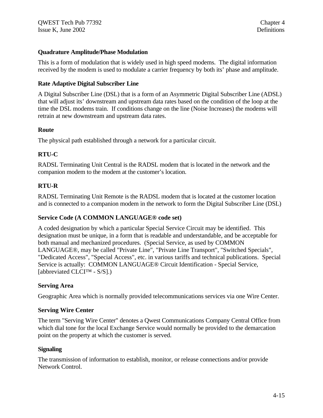#### **Quadrature Amplitude/Phase Modulation**

This is a form of modulation that is widely used in high speed modems. The digital information received by the modem is used to modulate a carrier frequency by both its' phase and amplitude.

#### **Rate Adaptive Digital Subscriber Line**

A Digital Subscriber Line (DSL) that is a form of an Asymmetric Digital Subscriber Line (ADSL) that will adjust its' downstream and upstream data rates based on the condition of the loop at the time the DSL modems train. If conditions change on the line (Noise Increases) the modems will retrain at new downstream and upstream data rates.

#### **Route**

The physical path established through a network for a particular circuit.

## **RTU-C**

RADSL Terminating Unit Central is the RADSL modem that is located in the network and the companion modem to the modem at the customer's location.

## **RTU-R**

RADSL Terminating Unit Remote is the RADSL modem that is located at the customer location and is connected to a companion modem in the network to form the Digital Subscriber Line (DSL)

## **Service Code (A COMMON LANGUAGE® code set)**

A coded designation by which a particular Special Service Circuit may be identified. This designation must be unique, in a form that is readable and understandable, and be acceptable for both manual and mechanized procedures. (Special Service, as used by COMMON LANGUAGE®, may be called "Private Line", "Private Line Transport", "Switched Specials", "Dedicated Access", "Special Access", etc. in various tariffs and technical publications. Special Service is actually: COMMON LANGUAGE® Circuit Identification - Special Service, [abbreviated CLCI™ - S/S].)

## **Serving Area**

Geographic Area which is normally provided telecommunications services via one Wire Center.

#### **Serving Wire Center**

The term "Serving Wire Center" denotes a Qwest Communications Company Central Office from which dial tone for the local Exchange Service would normally be provided to the demarcation point on the property at which the customer is served.

#### **Signaling**

The transmission of information to establish, monitor, or release connections and/or provide Network Control.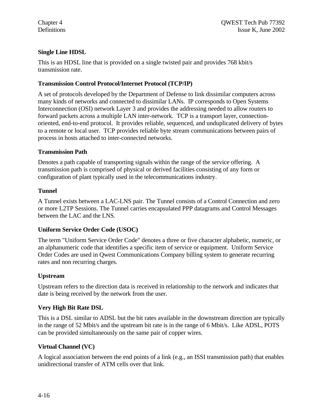## **Single Line HDSL**

This is an HDSL line that is provided on a single twisted pair and provides 768 kbit/s transmission rate.

#### **Transmission Control Protocol/Internet Protocol (TCP/IP)**

A set of protocols developed by the Department of Defense to link dissimilar computers across many kinds of networks and connected to dissimilar LANs. IP corresponds to Open Systems Interconnection (OSI) network Layer 3 and provides the addressing needed to allow routers to forward packets across a multiple LAN inter-network. TCP is a transport layer, connectionoriented, end-to-end protocol. It provides reliable, sequenced, and unduplicated delivery of bytes to a remote or local user. TCP provides reliable byte stream communications between pairs of process in hosts attached to inter-connected networks.

#### **Transmission Path**

Denotes a path capable of transporting signals within the range of the service offering. A transmission path is comprised of physical or derived facilities consisting of any form or configuration of plant typically used in the telecommunications industry.

#### **Tunnel**

A Tunnel exists between a LAC-LNS pair. The Tunnel consists of a Control Connection and zero or more L2TP Sessions. The Tunnel carries encapsulated PPP datagrams and Control Messages between the LAC and the LNS.

## **Uniform Service Order Code (USOC)**

The term "Uniform Service Order Code" denotes a three or five character alphabetic, numeric, or an alphanumeric code that identifies a specific item of service or equipment. Uniform Service Order Codes are used in Qwest Communications Company billing system to generate recurring rates and non recurring charges.

## **Upstream**

Upstream refers to the direction data is received in relationship to the network and indicates that date is being received by the network from the user.

## **Very High Bit Rate DSL**

This is a DSL similar to ADSL but the bit rates available in the downstream direction are typically in the range of 52 Mbit/s and the upstream bit rate is in the range of 6 Mbit/s. Like ADSL, POTS can be provided simultaneously on the same pair of copper wires.

## **Virtual Channel (VC)**

A logical association between the end points of a link (e.g., an ISSI transmission path) that enables unidirectional transfer of ATM cells over that link.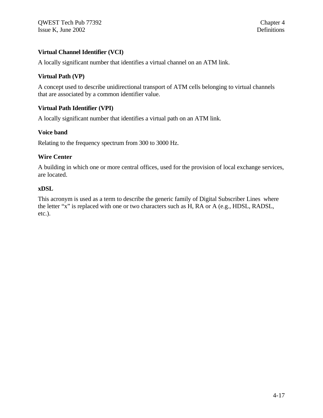## **Virtual Channel Identifier (VCI)**

A locally significant number that identifies a virtual channel on an ATM link.

#### **Virtual Path (VP)**

A concept used to describe unidirectional transport of ATM cells belonging to virtual channels that are associated by a common identifier value.

#### **Virtual Path Identifier (VPI)**

A locally significant number that identifies a virtual path on an ATM link.

#### **Voice band**

Relating to the frequency spectrum from 300 to 3000 Hz.

#### **Wire Center**

A building in which one or more central offices, used for the provision of local exchange services, are located.

#### **xDSL**

This acronym is used as a term to describe the generic family of Digital Subscriber Lines where the letter "x" is replaced with one or two characters such as H, RA or A (e.g., HDSL, RADSL, etc.).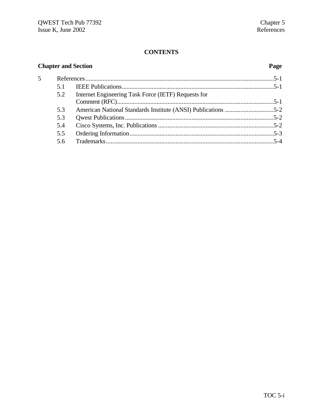## **CONTENTS**

## **Chapter and Section Page**

| 5 |     |                                                     |  |
|---|-----|-----------------------------------------------------|--|
|   | 51  |                                                     |  |
|   | 5.2 | Internet Engineering Task Force (IETF) Requests for |  |
|   |     |                                                     |  |
|   | 5.3 |                                                     |  |
|   | 5.3 |                                                     |  |
|   | 5.4 |                                                     |  |
|   | 5.5 |                                                     |  |
|   | 56  |                                                     |  |
|   |     |                                                     |  |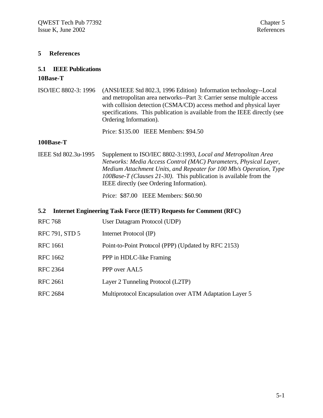#### **5 References**

# **5.1 IEEE Publications**

#### **10Base-T**

ISO/IEC 8802-3: 1996 (ANSI/IEEE Std 802.3, 1996 Edition) Information technology--Local and metropolitan area networks--Part 3: Carrier sense multiple access with collision detection (CSMA/CD) access method and physical layer specifications. This publication is available from the IEEE directly (see Ordering Information).

Price: \$135.00 IEEE Members: \$94.50

#### **100Base-T**

IEEE Std 802.3u-1995 Supplement to ISO/IEC 8802-3:1993, *Local and Metropolitan Area Networks: Media Access Control (MAC) Parameters, Physical Layer, Medium Attachment Units, and Repeater for 100 Mb/s Operation, Type 100Base-T (Clauses 21-30).* This publication is available from the IEEE directly (see Ordering Information).

Price: \$87.00 IEEE Members: \$60.90

#### **5.2 Internet Engineering Task Force (IETF) Requests for Comment (RFC)**

| <b>RFC 768</b>  | User Datagram Protocol (UDP)                            |
|-----------------|---------------------------------------------------------|
| RFC 791, STD 5  | Internet Protocol (IP)                                  |
| <b>RFC</b> 1661 | Point-to-Point Protocol (PPP) (Updated by RFC 2153)     |
| <b>RFC 1662</b> | PPP in HDLC-like Framing                                |
| <b>RFC 2364</b> | PPP over AAL5                                           |
| <b>RFC 2661</b> | Layer 2 Tunneling Protocol (L2TP)                       |
| <b>RFC 2684</b> | Multiprotocol Encapsulation over ATM Adaptation Layer 5 |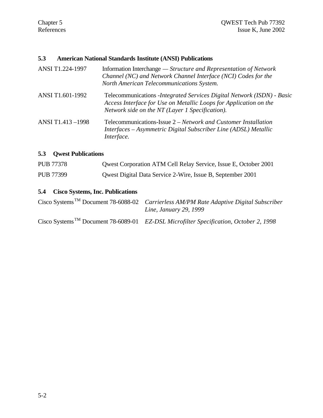#### **5.3 American National Standards Institute (ANSI) Publications**

| ANSI T1.224-1997 | Information Interchange — Structure and Representation of Network<br>Channel (NC) and Network Channel Interface (NCI) Codes for the<br>North American Telecommunications System.                |
|------------------|-------------------------------------------------------------------------------------------------------------------------------------------------------------------------------------------------|
| ANSI T1.601-1992 | Telecommunications - Integrated Services Digital Network (ISDN) - Basic<br>Access Interface for Use on Metallic Loops for Application on the<br>Network side on the NT (Layer 1 Specification). |
| ANSI T1.413-1998 | Telecommunications-Issue 2 – Network and Customer Installation<br>Interfaces – Asymmetric Digital Subscriber Line (ADSL) Metallic<br>Interface.                                                 |

## **5.3 Qwest Publications**

| <b>PUB 77378</b> | Qwest Corporation ATM Cell Relay Service, Issue E, October 2001 |
|------------------|-----------------------------------------------------------------|
| PUB 77399        | Qwest Digital Data Service 2-Wire, Issue B, September 2001      |

## **5.4 Cisco Systems, Inc. Publications**

| Cisco Systems <sup>TM</sup> Document 78-6088-02 <i>Carrierless AM/PM Rate Adaptive Digital Subscriber</i><br><i>Line, January 29, 1999</i> |
|--------------------------------------------------------------------------------------------------------------------------------------------|
| Cisco Systems <sup>TM</sup> Document 78-6089-01 EZ-DSL Microfilter Specification, October 2, 1998                                          |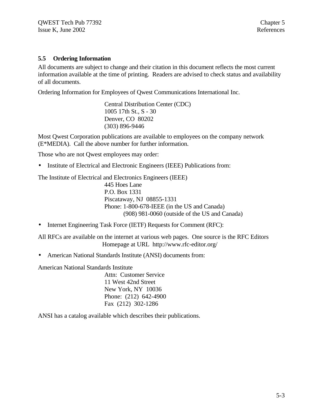#### **5.5 Ordering Information**

All documents are subject to change and their citation in this document reflects the most current information available at the time of printing. Readers are advised to check status and availability of all documents.

Ordering Information for Employees of Qwest Communications International Inc.

Central Distribution Center (CDC) 1005 17th St., S - 30 Denver, CO 80202 (303) 896-9446

Most Qwest Corporation publications are available to employees on the company network (E\*MEDIA). Call the above number for further information.

Those who are not Qwest employees may order:

• Institute of Electrical and Electronic Engineers (IEEE) Publications from:

The Institute of Electrical and Electronics Engineers (IEEE) 445 Hoes Lane P.O. Box 1331 Piscataway, NJ 08855-1331 Phone: 1-800-678-IEEE (in the US and Canada)

(908) 981-0060 (outside of the US and Canada)

• Internet Engineering Task Force (IETF) Requests for Comment (RFC):

All RFCs are available on the internet at various web pages. One source is the RFC Editors Homepage at URL http://www.rfc-editor.org/

• American National Standards Institute (ANSI) documents from:

American National Standards Institute

Attn: Customer Service 11 West 42nd Street New York, NY 10036 Phone: (212) 642-4900 Fax (212) 302-1286

ANSI has a catalog available which describes their publications.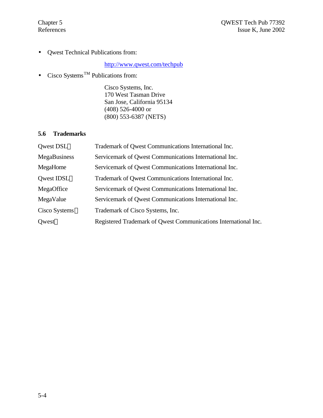• Qwest Technical Publications from:

## http://www.qwest.com/techpub

• Cisco Systems<sup>TM</sup> Publications from:

Cisco Systems, Inc. 170 West Tasman Drive San Jose, California 95134 (408) 526-4000 or (800) 553-6387 (NETS)

## **5.6 Trademarks**

| Qwest DSL™                    | Trademark of Qwest Communications International Inc.            |
|-------------------------------|-----------------------------------------------------------------|
| MegaBusiness                  | Servicemark of Qwest Communications International Inc.          |
| MegaHome                      | Servicemark of Qwest Communications International Inc.          |
| Qwest IDSL™                   | Trademark of Qwest Communications International Inc.            |
| MegaOffice                    | Servicemark of Qwest Communications International Inc.          |
| MegaValue                     | Servicemark of Qwest Communications International Inc.          |
| $Cisco$ Systems <sup>TM</sup> | Trademark of Cisco Systems, Inc.                                |
| <b>Owest<sup>®</sup></b>      | Registered Trademark of Qwest Communications International Inc. |